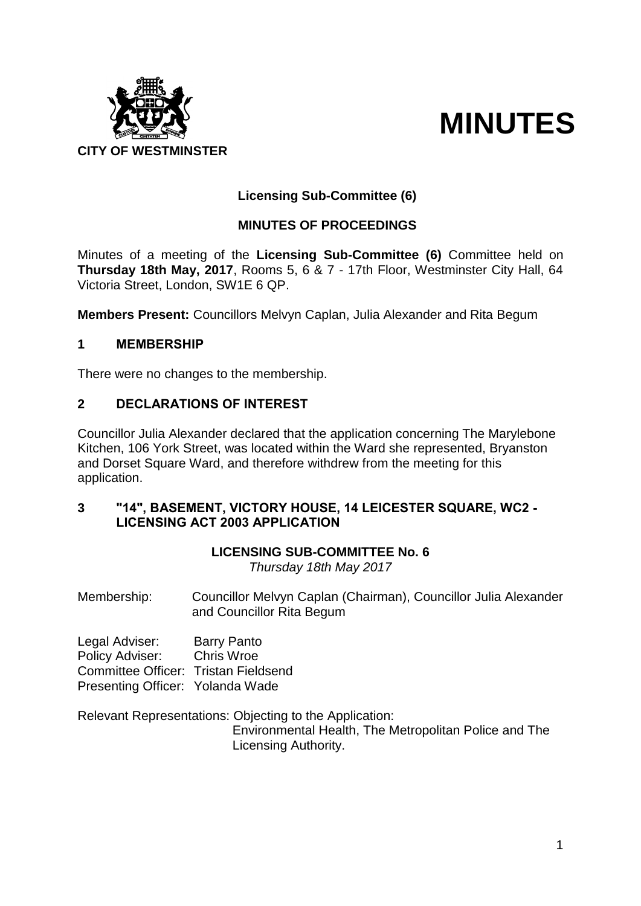

# **MINUTES**

# **Licensing Sub-Committee (6)**

# **MINUTES OF PROCEEDINGS**

Minutes of a meeting of the **Licensing Sub-Committee (6)** Committee held on **Thursday 18th May, 2017**, Rooms 5, 6 & 7 - 17th Floor, Westminster City Hall, 64 Victoria Street, London, SW1E 6 QP.

**Members Present:** Councillors Melvyn Caplan, Julia Alexander and Rita Begum

# **1 MEMBERSHIP**

There were no changes to the membership.

# **2 DECLARATIONS OF INTEREST**

Councillor Julia Alexander declared that the application concerning The Marylebone Kitchen, 106 York Street, was located within the Ward she represented, Bryanston and Dorset Square Ward, and therefore withdrew from the meeting for this application.

## **3 "14", BASEMENT, VICTORY HOUSE, 14 LEICESTER SQUARE, WC2 - LICENSING ACT 2003 APPLICATION**

# **LICENSING SUB-COMMITTEE No. 6**

*Thursday 18th May 2017*

Membership: Councillor Melvyn Caplan (Chairman), Councillor Julia Alexander and Councillor Rita Begum

Legal Adviser: Barry Panto Policy Adviser: Chris Wroe Committee Officer: Tristan Fieldsend Presenting Officer: Yolanda Wade

Relevant Representations: Objecting to the Application:

Environmental Health, The Metropolitan Police and The Licensing Authority.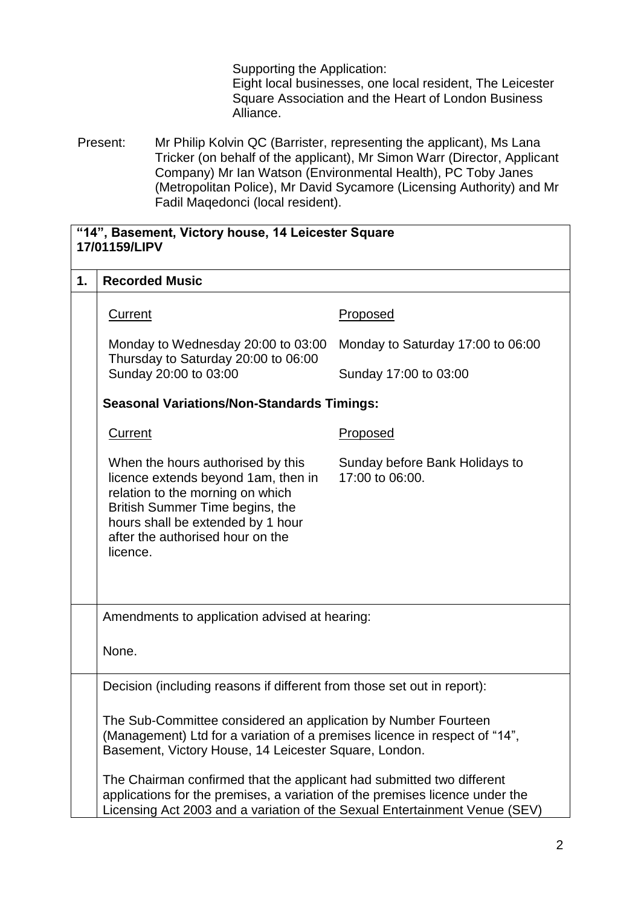Supporting the Application: Eight local businesses, one local resident, The Leicester Square Association and the Heart of London Business Alliance.

Present: Mr Philip Kolvin QC (Barrister, representing the applicant), Ms Lana Tricker (on behalf of the applicant), Mr Simon Warr (Director, Applicant Company) Mr Ian Watson (Environmental Health), PC Toby Janes (Metropolitan Police), Mr David Sycamore (Licensing Authority) and Mr Fadil Maqedonci (local resident).

| "14", Basement, Victory house, 14 Leicester Square<br>17/01159/LIPV |                                                                                                                                                                                                                                      |                                                   |  |
|---------------------------------------------------------------------|--------------------------------------------------------------------------------------------------------------------------------------------------------------------------------------------------------------------------------------|---------------------------------------------------|--|
| 1.                                                                  | <b>Recorded Music</b>                                                                                                                                                                                                                |                                                   |  |
|                                                                     | <b>Current</b>                                                                                                                                                                                                                       | Proposed                                          |  |
|                                                                     | Monday to Wednesday 20:00 to 03:00<br>Thursday to Saturday 20:00 to 06:00                                                                                                                                                            | Monday to Saturday 17:00 to 06:00                 |  |
|                                                                     | Sunday 20:00 to 03:00                                                                                                                                                                                                                | Sunday 17:00 to 03:00                             |  |
|                                                                     | <b>Seasonal Variations/Non-Standards Timings:</b>                                                                                                                                                                                    |                                                   |  |
|                                                                     | <b>Current</b>                                                                                                                                                                                                                       | <b>Proposed</b>                                   |  |
|                                                                     | When the hours authorised by this<br>licence extends beyond 1am, then in<br>relation to the morning on which<br>British Summer Time begins, the<br>hours shall be extended by 1 hour<br>after the authorised hour on the<br>licence. | Sunday before Bank Holidays to<br>17:00 to 06:00. |  |
|                                                                     | Amendments to application advised at hearing:                                                                                                                                                                                        |                                                   |  |
|                                                                     | None.                                                                                                                                                                                                                                |                                                   |  |
|                                                                     | Decision (including reasons if different from those set out in report):                                                                                                                                                              |                                                   |  |
|                                                                     | The Sub-Committee considered an application by Number Fourteen<br>(Management) Ltd for a variation of a premises licence in respect of "14",<br>Basement, Victory House, 14 Leicester Square, London.                                |                                                   |  |
|                                                                     | The Chairman confirmed that the applicant had submitted two different<br>applications for the premises, a variation of the premises licence under the<br>Licensing Act 2003 and a variation of the Sexual Entertainment Venue (SEV)  |                                                   |  |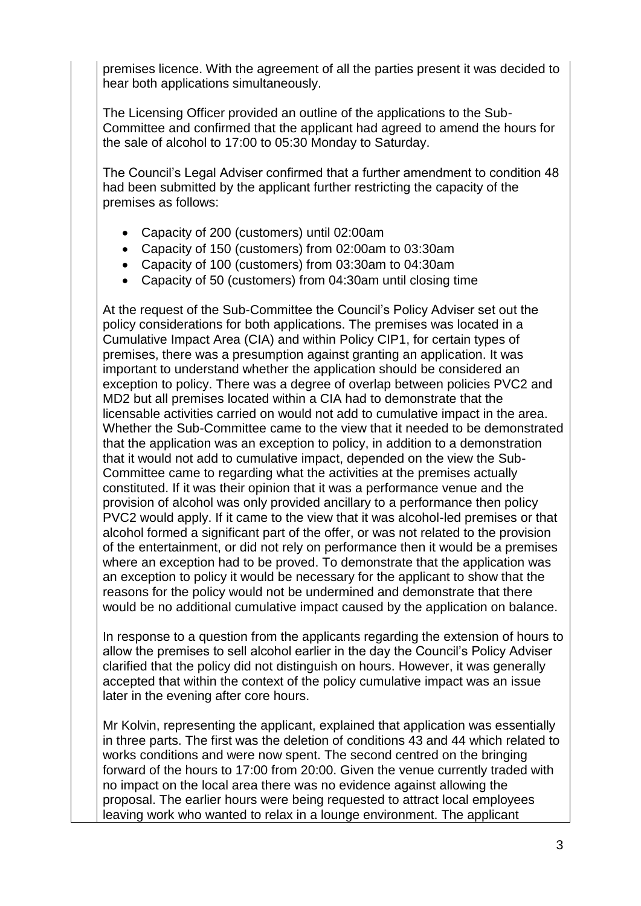premises licence. With the agreement of all the parties present it was decided to hear both applications simultaneously.

The Licensing Officer provided an outline of the applications to the Sub-Committee and confirmed that the applicant had agreed to amend the hours for the sale of alcohol to 17:00 to 05:30 Monday to Saturday.

The Council's Legal Adviser confirmed that a further amendment to condition 48 had been submitted by the applicant further restricting the capacity of the premises as follows:

- Capacity of 200 (customers) until 02:00am
- Capacity of 150 (customers) from 02:00am to 03:30am
- Capacity of 100 (customers) from 03:30am to 04:30am
- Capacity of 50 (customers) from 04:30am until closing time

At the request of the Sub-Committee the Council's Policy Adviser set out the policy considerations for both applications. The premises was located in a Cumulative Impact Area (CIA) and within Policy CIP1, for certain types of premises, there was a presumption against granting an application. It was important to understand whether the application should be considered an exception to policy. There was a degree of overlap between policies PVC2 and MD2 but all premises located within a CIA had to demonstrate that the licensable activities carried on would not add to cumulative impact in the area. Whether the Sub-Committee came to the view that it needed to be demonstrated that the application was an exception to policy, in addition to a demonstration that it would not add to cumulative impact, depended on the view the Sub-Committee came to regarding what the activities at the premises actually constituted. If it was their opinion that it was a performance venue and the provision of alcohol was only provided ancillary to a performance then policy PVC2 would apply. If it came to the view that it was alcohol-led premises or that alcohol formed a significant part of the offer, or was not related to the provision of the entertainment, or did not rely on performance then it would be a premises where an exception had to be proved. To demonstrate that the application was an exception to policy it would be necessary for the applicant to show that the reasons for the policy would not be undermined and demonstrate that there would be no additional cumulative impact caused by the application on balance.

In response to a question from the applicants regarding the extension of hours to allow the premises to sell alcohol earlier in the day the Council's Policy Adviser clarified that the policy did not distinguish on hours. However, it was generally accepted that within the context of the policy cumulative impact was an issue later in the evening after core hours.

Mr Kolvin, representing the applicant, explained that application was essentially in three parts. The first was the deletion of conditions 43 and 44 which related to works conditions and were now spent. The second centred on the bringing forward of the hours to 17:00 from 20:00. Given the venue currently traded with no impact on the local area there was no evidence against allowing the proposal. The earlier hours were being requested to attract local employees leaving work who wanted to relax in a lounge environment. The applicant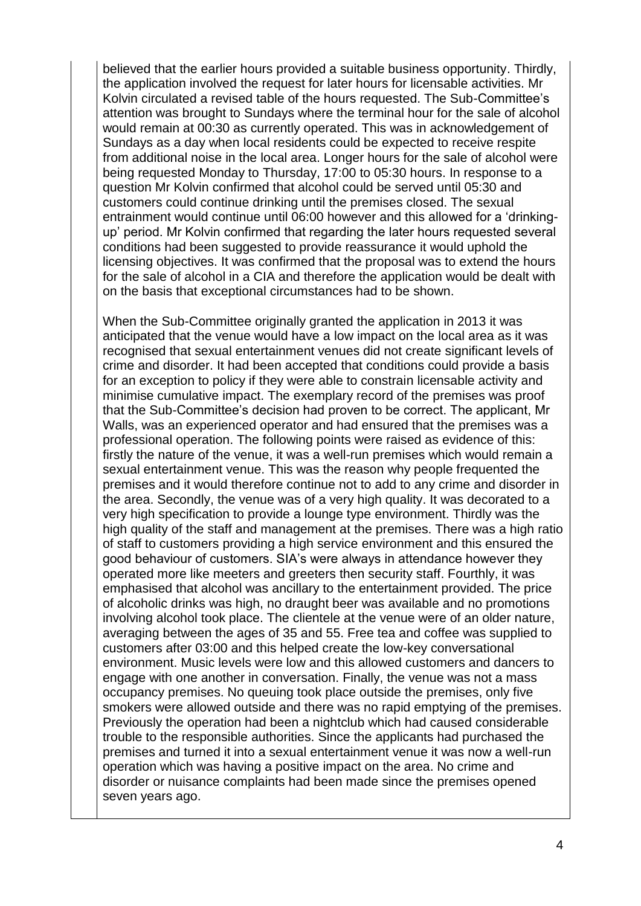believed that the earlier hours provided a suitable business opportunity. Thirdly, the application involved the request for later hours for licensable activities. Mr Kolvin circulated a revised table of the hours requested. The Sub-Committee's attention was brought to Sundays where the terminal hour for the sale of alcohol would remain at 00:30 as currently operated. This was in acknowledgement of Sundays as a day when local residents could be expected to receive respite from additional noise in the local area. Longer hours for the sale of alcohol were being requested Monday to Thursday, 17:00 to 05:30 hours. In response to a question Mr Kolvin confirmed that alcohol could be served until 05:30 and customers could continue drinking until the premises closed. The sexual entrainment would continue until 06:00 however and this allowed for a 'drinkingup' period. Mr Kolvin confirmed that regarding the later hours requested several conditions had been suggested to provide reassurance it would uphold the licensing objectives. It was confirmed that the proposal was to extend the hours for the sale of alcohol in a CIA and therefore the application would be dealt with on the basis that exceptional circumstances had to be shown.

When the Sub-Committee originally granted the application in 2013 it was anticipated that the venue would have a low impact on the local area as it was recognised that sexual entertainment venues did not create significant levels of crime and disorder. It had been accepted that conditions could provide a basis for an exception to policy if they were able to constrain licensable activity and minimise cumulative impact. The exemplary record of the premises was proof that the Sub-Committee's decision had proven to be correct. The applicant, Mr Walls, was an experienced operator and had ensured that the premises was a professional operation. The following points were raised as evidence of this: firstly the nature of the venue, it was a well-run premises which would remain a sexual entertainment venue. This was the reason why people frequented the premises and it would therefore continue not to add to any crime and disorder in the area. Secondly, the venue was of a very high quality. It was decorated to a very high specification to provide a lounge type environment. Thirdly was the high quality of the staff and management at the premises. There was a high ratio of staff to customers providing a high service environment and this ensured the good behaviour of customers. SIA's were always in attendance however they operated more like meeters and greeters then security staff. Fourthly, it was emphasised that alcohol was ancillary to the entertainment provided. The price of alcoholic drinks was high, no draught beer was available and no promotions involving alcohol took place. The clientele at the venue were of an older nature, averaging between the ages of 35 and 55. Free tea and coffee was supplied to customers after 03:00 and this helped create the low-key conversational environment. Music levels were low and this allowed customers and dancers to engage with one another in conversation. Finally, the venue was not a mass occupancy premises. No queuing took place outside the premises, only five smokers were allowed outside and there was no rapid emptying of the premises. Previously the operation had been a nightclub which had caused considerable trouble to the responsible authorities. Since the applicants had purchased the premises and turned it into a sexual entertainment venue it was now a well-run operation which was having a positive impact on the area. No crime and disorder or nuisance complaints had been made since the premises opened seven years ago.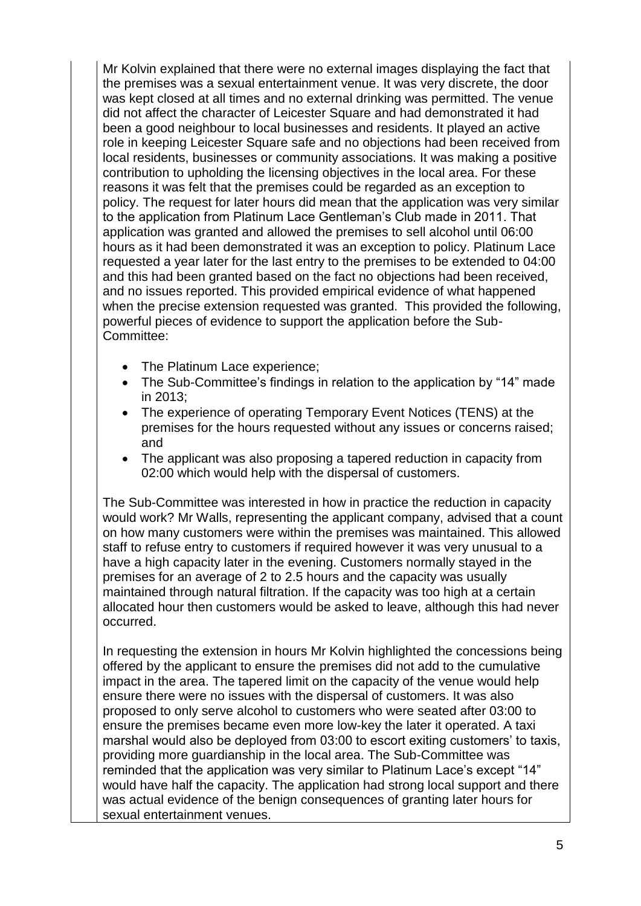Mr Kolvin explained that there were no external images displaying the fact that the premises was a sexual entertainment venue. It was very discrete, the door was kept closed at all times and no external drinking was permitted. The venue did not affect the character of Leicester Square and had demonstrated it had been a good neighbour to local businesses and residents. It played an active role in keeping Leicester Square safe and no objections had been received from local residents, businesses or community associations. It was making a positive contribution to upholding the licensing objectives in the local area. For these reasons it was felt that the premises could be regarded as an exception to policy. The request for later hours did mean that the application was very similar to the application from Platinum Lace Gentleman's Club made in 2011. That application was granted and allowed the premises to sell alcohol until 06:00 hours as it had been demonstrated it was an exception to policy. Platinum Lace requested a year later for the last entry to the premises to be extended to 04:00 and this had been granted based on the fact no objections had been received, and no issues reported. This provided empirical evidence of what happened when the precise extension requested was granted. This provided the following, powerful pieces of evidence to support the application before the Sub-Committee:

- The Platinum Lace experience;
- The Sub-Committee's findings in relation to the application by "14" made in 2013;
- The experience of operating Temporary Event Notices (TENS) at the premises for the hours requested without any issues or concerns raised; and
- The applicant was also proposing a tapered reduction in capacity from 02:00 which would help with the dispersal of customers.

The Sub-Committee was interested in how in practice the reduction in capacity would work? Mr Walls, representing the applicant company, advised that a count on how many customers were within the premises was maintained. This allowed staff to refuse entry to customers if required however it was very unusual to a have a high capacity later in the evening. Customers normally stayed in the premises for an average of 2 to 2.5 hours and the capacity was usually maintained through natural filtration. If the capacity was too high at a certain allocated hour then customers would be asked to leave, although this had never occurred.

In requesting the extension in hours Mr Kolvin highlighted the concessions being offered by the applicant to ensure the premises did not add to the cumulative impact in the area. The tapered limit on the capacity of the venue would help ensure there were no issues with the dispersal of customers. It was also proposed to only serve alcohol to customers who were seated after 03:00 to ensure the premises became even more low-key the later it operated. A taxi marshal would also be deployed from 03:00 to escort exiting customers' to taxis, providing more guardianship in the local area. The Sub-Committee was reminded that the application was very similar to Platinum Lace's except "14" would have half the capacity. The application had strong local support and there was actual evidence of the benign consequences of granting later hours for sexual entertainment venues.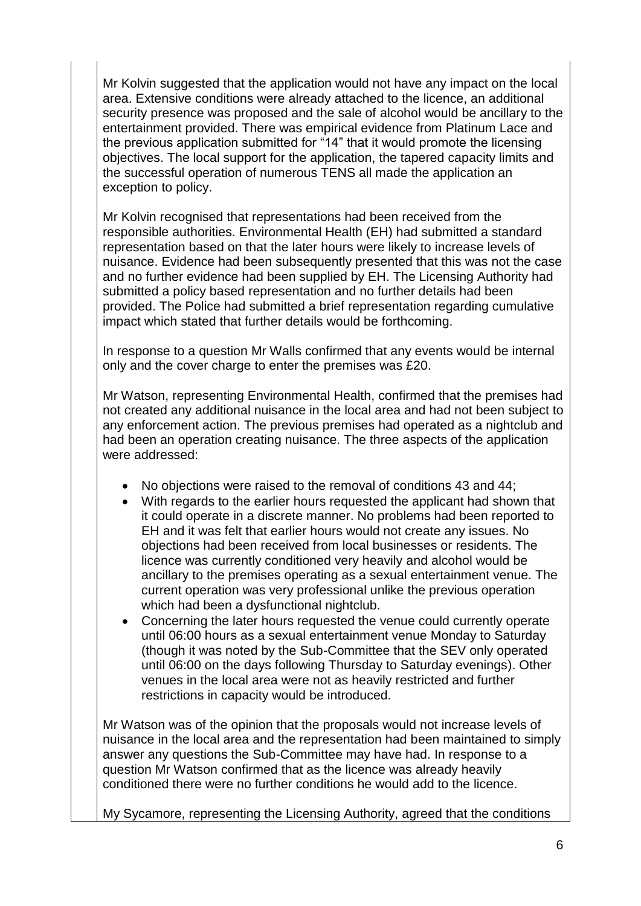Mr Kolvin suggested that the application would not have any impact on the local area. Extensive conditions were already attached to the licence, an additional security presence was proposed and the sale of alcohol would be ancillary to the entertainment provided. There was empirical evidence from Platinum Lace and the previous application submitted for "14" that it would promote the licensing objectives. The local support for the application, the tapered capacity limits and the successful operation of numerous TENS all made the application an exception to policy.

Mr Kolvin recognised that representations had been received from the responsible authorities. Environmental Health (EH) had submitted a standard representation based on that the later hours were likely to increase levels of nuisance. Evidence had been subsequently presented that this was not the case and no further evidence had been supplied by EH. The Licensing Authority had submitted a policy based representation and no further details had been provided. The Police had submitted a brief representation regarding cumulative impact which stated that further details would be forthcoming.

In response to a question Mr Walls confirmed that any events would be internal only and the cover charge to enter the premises was £20.

Mr Watson, representing Environmental Health, confirmed that the premises had not created any additional nuisance in the local area and had not been subject to any enforcement action. The previous premises had operated as a nightclub and had been an operation creating nuisance. The three aspects of the application were addressed:

- No objections were raised to the removal of conditions 43 and 44;
- With regards to the earlier hours requested the applicant had shown that it could operate in a discrete manner. No problems had been reported to EH and it was felt that earlier hours would not create any issues. No objections had been received from local businesses or residents. The licence was currently conditioned very heavily and alcohol would be ancillary to the premises operating as a sexual entertainment venue. The current operation was very professional unlike the previous operation which had been a dysfunctional nightclub.
- Concerning the later hours requested the venue could currently operate until 06:00 hours as a sexual entertainment venue Monday to Saturday (though it was noted by the Sub-Committee that the SEV only operated until 06:00 on the days following Thursday to Saturday evenings). Other venues in the local area were not as heavily restricted and further restrictions in capacity would be introduced.

Mr Watson was of the opinion that the proposals would not increase levels of nuisance in the local area and the representation had been maintained to simply answer any questions the Sub-Committee may have had. In response to a question Mr Watson confirmed that as the licence was already heavily conditioned there were no further conditions he would add to the licence.

My Sycamore, representing the Licensing Authority, agreed that the conditions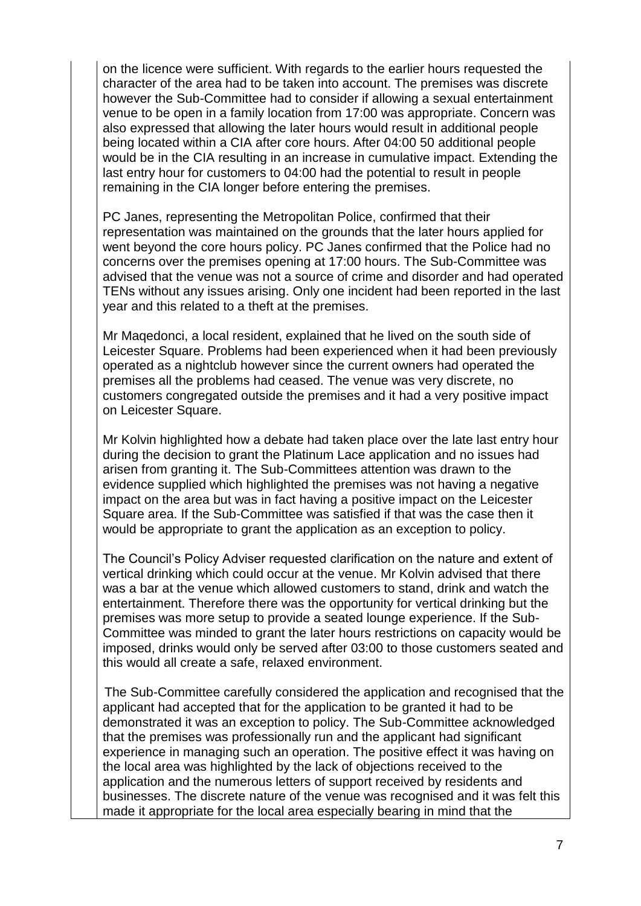on the licence were sufficient. With regards to the earlier hours requested the character of the area had to be taken into account. The premises was discrete however the Sub-Committee had to consider if allowing a sexual entertainment venue to be open in a family location from 17:00 was appropriate. Concern was also expressed that allowing the later hours would result in additional people being located within a CIA after core hours. After 04:00 50 additional people would be in the CIA resulting in an increase in cumulative impact. Extending the last entry hour for customers to 04:00 had the potential to result in people remaining in the CIA longer before entering the premises.

PC Janes, representing the Metropolitan Police, confirmed that their representation was maintained on the grounds that the later hours applied for went beyond the core hours policy. PC Janes confirmed that the Police had no concerns over the premises opening at 17:00 hours. The Sub-Committee was advised that the venue was not a source of crime and disorder and had operated TENs without any issues arising. Only one incident had been reported in the last year and this related to a theft at the premises.

Mr Maqedonci, a local resident, explained that he lived on the south side of Leicester Square. Problems had been experienced when it had been previously operated as a nightclub however since the current owners had operated the premises all the problems had ceased. The venue was very discrete, no customers congregated outside the premises and it had a very positive impact on Leicester Square.

Mr Kolvin highlighted how a debate had taken place over the late last entry hour during the decision to grant the Platinum Lace application and no issues had arisen from granting it. The Sub-Committees attention was drawn to the evidence supplied which highlighted the premises was not having a negative impact on the area but was in fact having a positive impact on the Leicester Square area. If the Sub-Committee was satisfied if that was the case then it would be appropriate to grant the application as an exception to policy.

The Council's Policy Adviser requested clarification on the nature and extent of vertical drinking which could occur at the venue. Mr Kolvin advised that there was a bar at the venue which allowed customers to stand, drink and watch the entertainment. Therefore there was the opportunity for vertical drinking but the premises was more setup to provide a seated lounge experience. If the Sub-Committee was minded to grant the later hours restrictions on capacity would be imposed, drinks would only be served after 03:00 to those customers seated and this would all create a safe, relaxed environment.

The Sub-Committee carefully considered the application and recognised that the applicant had accepted that for the application to be granted it had to be demonstrated it was an exception to policy. The Sub-Committee acknowledged that the premises was professionally run and the applicant had significant experience in managing such an operation. The positive effect it was having on the local area was highlighted by the lack of objections received to the application and the numerous letters of support received by residents and businesses. The discrete nature of the venue was recognised and it was felt this made it appropriate for the local area especially bearing in mind that the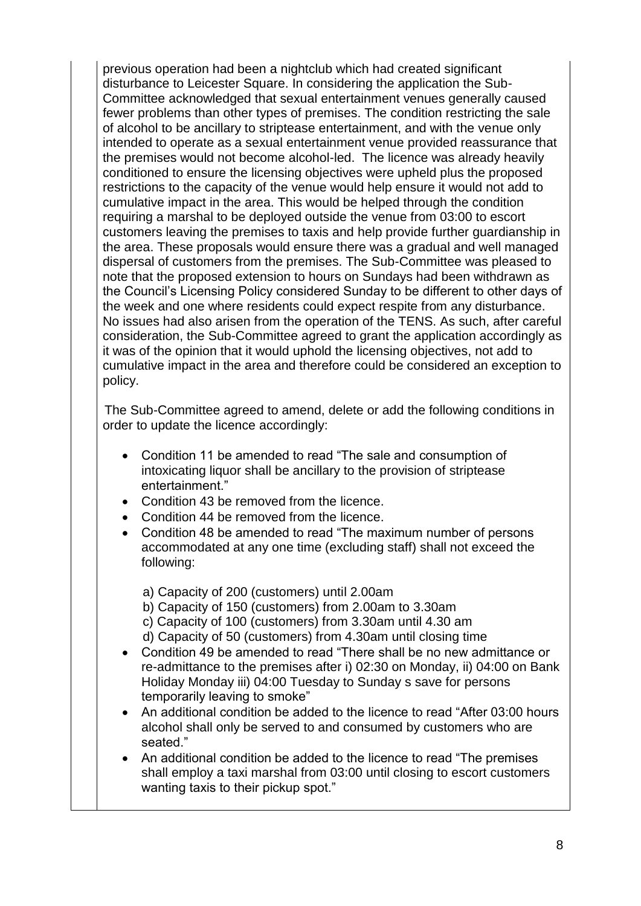previous operation had been a nightclub which had created significant disturbance to Leicester Square. In considering the application the Sub-Committee acknowledged that sexual entertainment venues generally caused fewer problems than other types of premises. The condition restricting the sale of alcohol to be ancillary to striptease entertainment, and with the venue only intended to operate as a sexual entertainment venue provided reassurance that the premises would not become alcohol-led. The licence was already heavily conditioned to ensure the licensing objectives were upheld plus the proposed restrictions to the capacity of the venue would help ensure it would not add to cumulative impact in the area. This would be helped through the condition requiring a marshal to be deployed outside the venue from 03:00 to escort customers leaving the premises to taxis and help provide further guardianship in the area. These proposals would ensure there was a gradual and well managed dispersal of customers from the premises. The Sub-Committee was pleased to note that the proposed extension to hours on Sundays had been withdrawn as the Council's Licensing Policy considered Sunday to be different to other days of the week and one where residents could expect respite from any disturbance. No issues had also arisen from the operation of the TENS. As such, after careful consideration, the Sub-Committee agreed to grant the application accordingly as it was of the opinion that it would uphold the licensing objectives, not add to cumulative impact in the area and therefore could be considered an exception to policy.

The Sub-Committee agreed to amend, delete or add the following conditions in order to update the licence accordingly:

- Condition 11 be amended to read "The sale and consumption of intoxicating liquor shall be ancillary to the provision of striptease entertainment."
- Condition 43 be removed from the licence.
- Condition 44 be removed from the licence.
- Condition 48 be amended to read "The maximum number of persons accommodated at any one time (excluding staff) shall not exceed the following:

a) Capacity of 200 (customers) until 2.00am

- b) Capacity of 150 (customers) from 2.00am to 3.30am
- c) Capacity of 100 (customers) from 3.30am until 4.30 am
- d) Capacity of 50 (customers) from 4.30am until closing time
- Condition 49 be amended to read "There shall be no new admittance or re-admittance to the premises after i) 02:30 on Monday, ii) 04:00 on Bank Holiday Monday iii) 04:00 Tuesday to Sunday s save for persons temporarily leaving to smoke"
- An additional condition be added to the licence to read "After 03:00 hours alcohol shall only be served to and consumed by customers who are seated."
- An additional condition be added to the licence to read "The premises shall employ a taxi marshal from 03:00 until closing to escort customers wanting taxis to their pickup spot."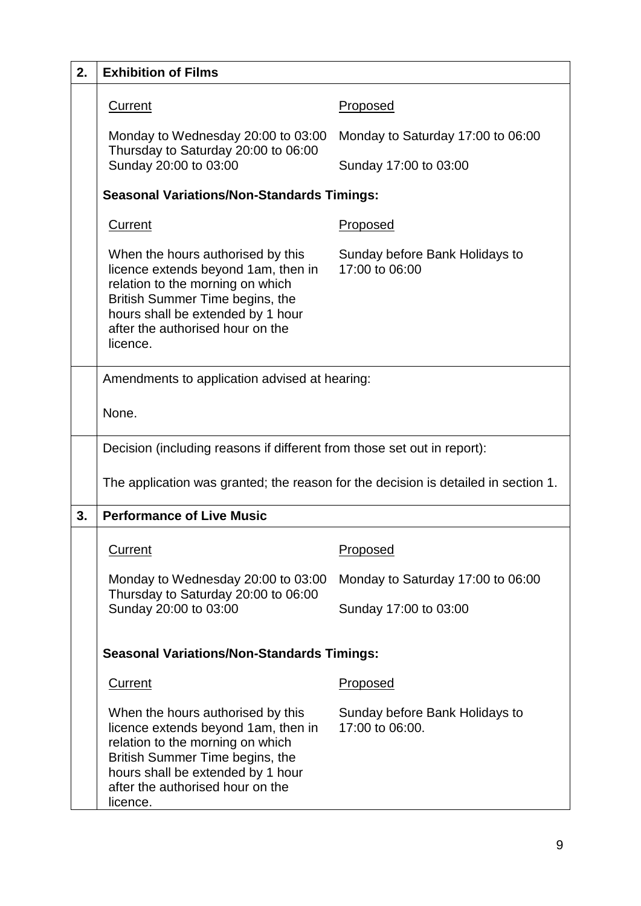| 2. | <b>Exhibition of Films</b>                                                                                                                                                                                                           |                                                   |
|----|--------------------------------------------------------------------------------------------------------------------------------------------------------------------------------------------------------------------------------------|---------------------------------------------------|
|    | <b>Current</b>                                                                                                                                                                                                                       | <u>Proposed</u>                                   |
|    | Monday to Wednesday 20:00 to 03:00<br>Thursday to Saturday 20:00 to 06:00<br>Sunday 20:00 to 03:00                                                                                                                                   | Monday to Saturday 17:00 to 06:00                 |
|    |                                                                                                                                                                                                                                      | Sunday 17:00 to 03:00                             |
|    | <b>Seasonal Variations/Non-Standards Timings:</b>                                                                                                                                                                                    |                                                   |
|    | <b>Current</b>                                                                                                                                                                                                                       | <b>Proposed</b>                                   |
|    | When the hours authorised by this<br>licence extends beyond 1am, then in<br>relation to the morning on which<br>British Summer Time begins, the<br>hours shall be extended by 1 hour<br>after the authorised hour on the<br>licence. | Sunday before Bank Holidays to<br>17:00 to 06:00  |
|    | Amendments to application advised at hearing:                                                                                                                                                                                        |                                                   |
|    | None.                                                                                                                                                                                                                                |                                                   |
|    | Decision (including reasons if different from those set out in report):                                                                                                                                                              |                                                   |
|    | The application was granted; the reason for the decision is detailed in section 1.                                                                                                                                                   |                                                   |
| 3. | <b>Performance of Live Music</b>                                                                                                                                                                                                     |                                                   |
|    | <b>Current</b>                                                                                                                                                                                                                       | <u>Proposed</u>                                   |
|    | Monday to Wednesday 20:00 to 03:00                                                                                                                                                                                                   | Monday to Saturday 17:00 to 06:00                 |
|    | Thursday to Saturday 20:00 to 06:00<br>Sunday 20:00 to 03:00                                                                                                                                                                         | Sunday 17:00 to 03:00                             |
|    | <b>Seasonal Variations/Non-Standards Timings:</b>                                                                                                                                                                                    |                                                   |
|    | <b>Current</b>                                                                                                                                                                                                                       | <b>Proposed</b>                                   |
|    | When the hours authorised by this<br>licence extends beyond 1am, then in<br>relation to the morning on which<br>British Summer Time begins, the<br>hours shall be extended by 1 hour<br>after the authorised hour on the<br>licence. | Sunday before Bank Holidays to<br>17:00 to 06:00. |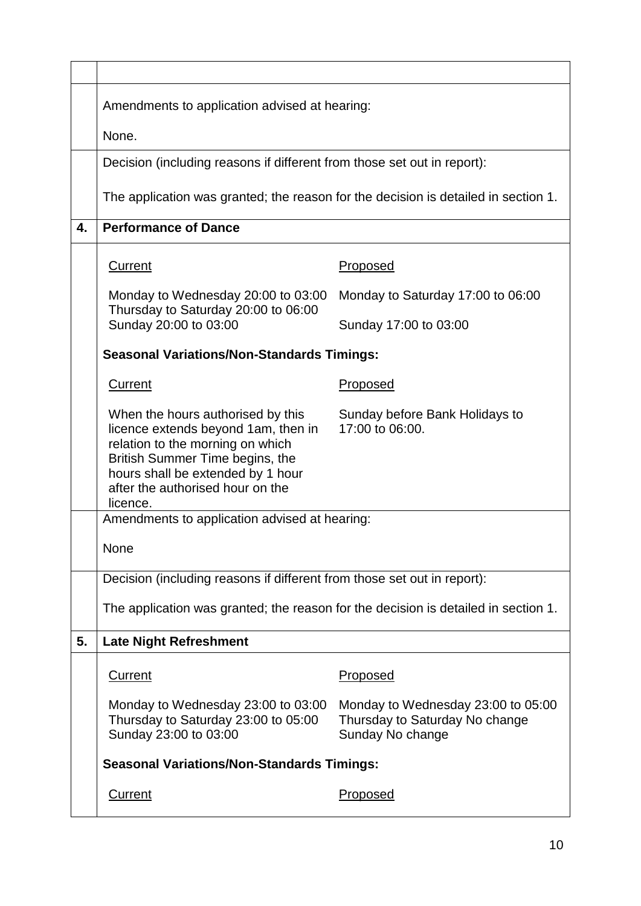|    | Amendments to application advised at hearing:                                                                                                                                                                                        |                                                                                          |  |
|----|--------------------------------------------------------------------------------------------------------------------------------------------------------------------------------------------------------------------------------------|------------------------------------------------------------------------------------------|--|
|    | None.                                                                                                                                                                                                                                |                                                                                          |  |
|    | Decision (including reasons if different from those set out in report):                                                                                                                                                              |                                                                                          |  |
|    | The application was granted; the reason for the decision is detailed in section 1.                                                                                                                                                   |                                                                                          |  |
| 4. | <b>Performance of Dance</b>                                                                                                                                                                                                          |                                                                                          |  |
|    | <b>Current</b>                                                                                                                                                                                                                       | Proposed                                                                                 |  |
|    | Monday to Wednesday 20:00 to 03:00<br>Thursday to Saturday 20:00 to 06:00                                                                                                                                                            | Monday to Saturday 17:00 to 06:00                                                        |  |
|    | Sunday 20:00 to 03:00                                                                                                                                                                                                                | Sunday 17:00 to 03:00                                                                    |  |
|    | <b>Seasonal Variations/Non-Standards Timings:</b>                                                                                                                                                                                    |                                                                                          |  |
|    | <b>Current</b>                                                                                                                                                                                                                       | <b>Proposed</b>                                                                          |  |
|    | When the hours authorised by this<br>licence extends beyond 1am, then in<br>relation to the morning on which<br>British Summer Time begins, the<br>hours shall be extended by 1 hour<br>after the authorised hour on the<br>licence. | Sunday before Bank Holidays to<br>17:00 to 06:00.                                        |  |
|    | Amendments to application advised at hearing:                                                                                                                                                                                        |                                                                                          |  |
|    | None                                                                                                                                                                                                                                 |                                                                                          |  |
|    | Decision (including reasons if different from those set out in report):                                                                                                                                                              |                                                                                          |  |
|    | The application was granted; the reason for the decision is detailed in section 1.                                                                                                                                                   |                                                                                          |  |
| 5. | <b>Late Night Refreshment</b>                                                                                                                                                                                                        |                                                                                          |  |
|    | <b>Current</b>                                                                                                                                                                                                                       | <u>Proposed</u>                                                                          |  |
|    | Monday to Wednesday 23:00 to 03:00<br>Thursday to Saturday 23:00 to 05:00<br>Sunday 23:00 to 03:00                                                                                                                                   | Monday to Wednesday 23:00 to 05:00<br>Thursday to Saturday No change<br>Sunday No change |  |
|    | <b>Seasonal Variations/Non-Standards Timings:</b>                                                                                                                                                                                    |                                                                                          |  |
|    | <b>Current</b>                                                                                                                                                                                                                       | <b>Proposed</b>                                                                          |  |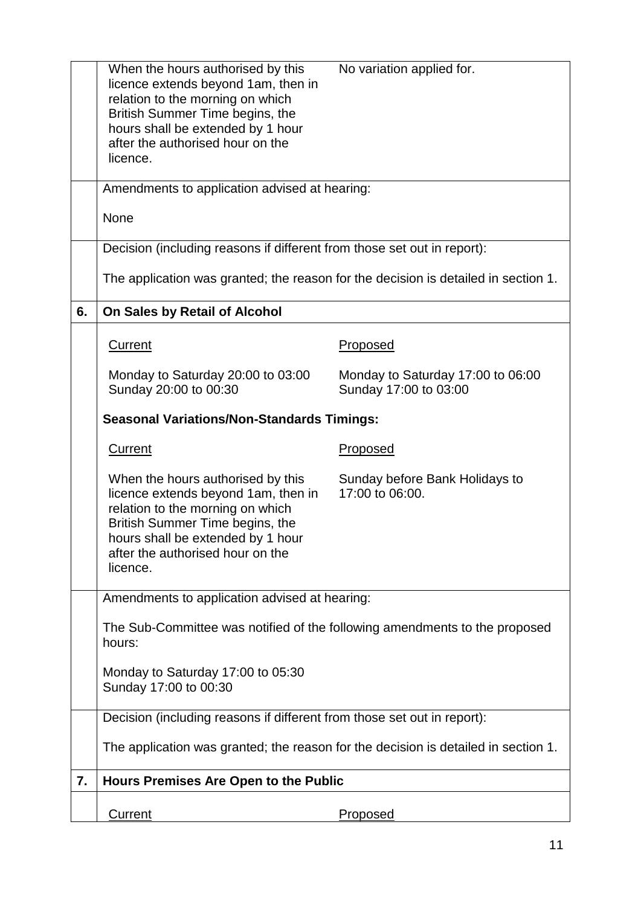|    | When the hours authorised by this<br>licence extends beyond 1am, then in<br>relation to the morning on which<br>British Summer Time begins, the<br>hours shall be extended by 1 hour<br>after the authorised hour on the<br>licence. | No variation applied for.                                  |
|----|--------------------------------------------------------------------------------------------------------------------------------------------------------------------------------------------------------------------------------------|------------------------------------------------------------|
|    | Amendments to application advised at hearing:                                                                                                                                                                                        |                                                            |
|    | None                                                                                                                                                                                                                                 |                                                            |
|    | Decision (including reasons if different from those set out in report):                                                                                                                                                              |                                                            |
|    | The application was granted; the reason for the decision is detailed in section 1.                                                                                                                                                   |                                                            |
| 6. | On Sales by Retail of Alcohol                                                                                                                                                                                                        |                                                            |
|    | <b>Current</b>                                                                                                                                                                                                                       | Proposed                                                   |
|    | Monday to Saturday 20:00 to 03:00<br>Sunday 20:00 to 00:30                                                                                                                                                                           | Monday to Saturday 17:00 to 06:00<br>Sunday 17:00 to 03:00 |
|    | <b>Seasonal Variations/Non-Standards Timings:</b>                                                                                                                                                                                    |                                                            |
|    | Current                                                                                                                                                                                                                              | Proposed                                                   |
|    | When the hours authorised by this<br>licence extends beyond 1am, then in<br>relation to the morning on which<br>British Summer Time begins, the<br>hours shall be extended by 1 hour<br>after the authorised hour on the<br>licence. | Sunday before Bank Holidays to<br>17:00 to 06:00.          |
|    | Amendments to application advised at hearing:                                                                                                                                                                                        |                                                            |
|    | The Sub-Committee was notified of the following amendments to the proposed<br>hours:                                                                                                                                                 |                                                            |
|    | Monday to Saturday 17:00 to 05:30<br>Sunday 17:00 to 00:30                                                                                                                                                                           |                                                            |
|    | Decision (including reasons if different from those set out in report):                                                                                                                                                              |                                                            |
|    | The application was granted; the reason for the decision is detailed in section 1.                                                                                                                                                   |                                                            |
| 7. | <b>Hours Premises Are Open to the Public</b>                                                                                                                                                                                         |                                                            |
|    | <b>Current</b>                                                                                                                                                                                                                       | <b>Proposed</b>                                            |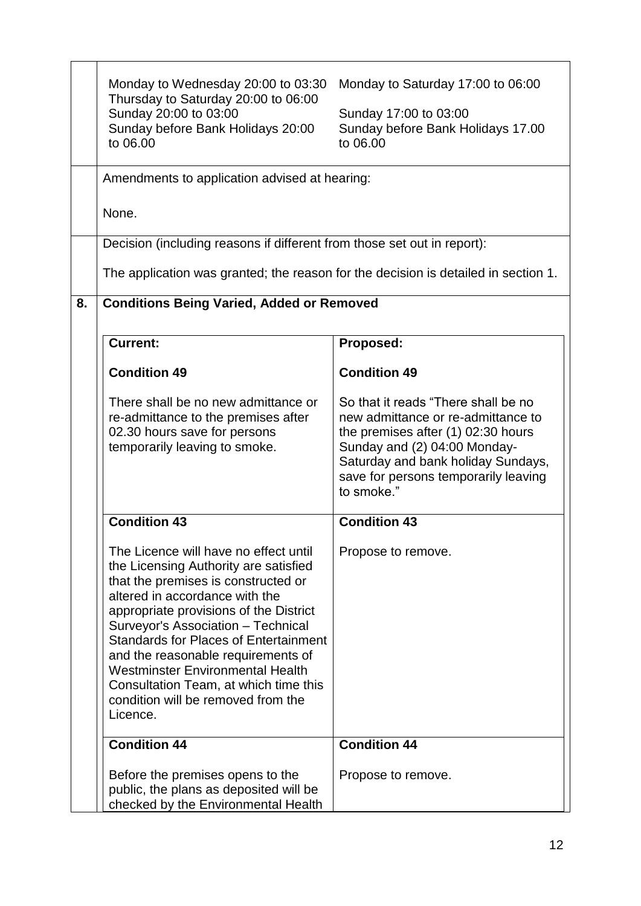|    | Monday to Wednesday 20:00 to 03:30<br>Thursday to Saturday 20:00 to 06:00<br>Sunday 20:00 to 03:00<br>Sunday before Bank Holidays 20:00<br>to 06.00                                                                                                                                                                                                                                                                                                                 | Monday to Saturday 17:00 to 06:00<br>Sunday 17:00 to 03:00<br>Sunday before Bank Holidays 17.00<br>to 06.00                                                                                                                                 |
|----|---------------------------------------------------------------------------------------------------------------------------------------------------------------------------------------------------------------------------------------------------------------------------------------------------------------------------------------------------------------------------------------------------------------------------------------------------------------------|---------------------------------------------------------------------------------------------------------------------------------------------------------------------------------------------------------------------------------------------|
|    | Amendments to application advised at hearing:                                                                                                                                                                                                                                                                                                                                                                                                                       |                                                                                                                                                                                                                                             |
|    | None.                                                                                                                                                                                                                                                                                                                                                                                                                                                               |                                                                                                                                                                                                                                             |
|    | Decision (including reasons if different from those set out in report):                                                                                                                                                                                                                                                                                                                                                                                             |                                                                                                                                                                                                                                             |
|    | The application was granted; the reason for the decision is detailed in section 1.                                                                                                                                                                                                                                                                                                                                                                                  |                                                                                                                                                                                                                                             |
| 8. | <b>Conditions Being Varied, Added or Removed</b>                                                                                                                                                                                                                                                                                                                                                                                                                    |                                                                                                                                                                                                                                             |
|    | <b>Current:</b>                                                                                                                                                                                                                                                                                                                                                                                                                                                     | Proposed:                                                                                                                                                                                                                                   |
|    | <b>Condition 49</b>                                                                                                                                                                                                                                                                                                                                                                                                                                                 | <b>Condition 49</b>                                                                                                                                                                                                                         |
|    | There shall be no new admittance or<br>re-admittance to the premises after<br>02.30 hours save for persons<br>temporarily leaving to smoke.                                                                                                                                                                                                                                                                                                                         | So that it reads "There shall be no<br>new admittance or re-admittance to<br>the premises after (1) 02:30 hours<br>Sunday and (2) 04:00 Monday-<br>Saturday and bank holiday Sundays,<br>save for persons temporarily leaving<br>to smoke." |
|    | <b>Condition 43</b>                                                                                                                                                                                                                                                                                                                                                                                                                                                 | <b>Condition 43</b>                                                                                                                                                                                                                         |
|    | The Licence will have no effect until<br>the Licensing Authority are satisfied<br>that the premises is constructed or<br>altered in accordance with the<br>appropriate provisions of the District<br>Surveyor's Association - Technical<br><b>Standards for Places of Entertainment</b><br>and the reasonable requirements of<br><b>Westminster Environmental Health</b><br>Consultation Team, at which time this<br>condition will be removed from the<br>Licence. | Propose to remove.                                                                                                                                                                                                                          |
|    | <b>Condition 44</b>                                                                                                                                                                                                                                                                                                                                                                                                                                                 | <b>Condition 44</b>                                                                                                                                                                                                                         |
|    | Before the premises opens to the<br>public, the plans as deposited will be<br>checked by the Environmental Health                                                                                                                                                                                                                                                                                                                                                   | Propose to remove.                                                                                                                                                                                                                          |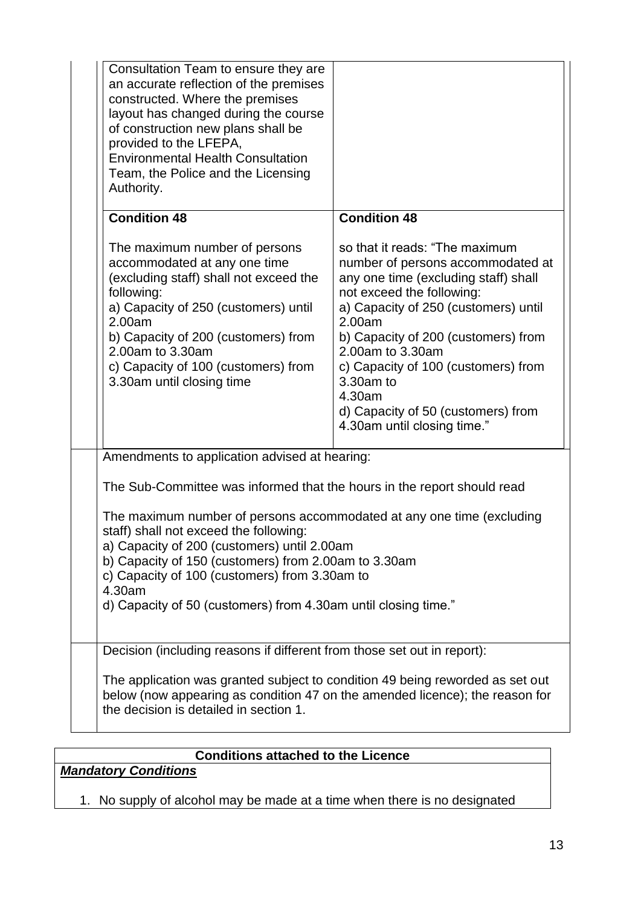| Consultation Team to ensure they are<br>an accurate reflection of the premises<br>constructed. Where the premises<br>layout has changed during the course<br>of construction new plans shall be<br>provided to the LFEPA,<br><b>Environmental Health Consultation</b><br>Team, the Police and the Licensing<br>Authority.                           |                                                                                                                                                                                                                                                                                                                                                                                          |  |
|-----------------------------------------------------------------------------------------------------------------------------------------------------------------------------------------------------------------------------------------------------------------------------------------------------------------------------------------------------|------------------------------------------------------------------------------------------------------------------------------------------------------------------------------------------------------------------------------------------------------------------------------------------------------------------------------------------------------------------------------------------|--|
| <b>Condition 48</b>                                                                                                                                                                                                                                                                                                                                 | <b>Condition 48</b>                                                                                                                                                                                                                                                                                                                                                                      |  |
| The maximum number of persons<br>accommodated at any one time<br>(excluding staff) shall not exceed the<br>following:<br>a) Capacity of 250 (customers) until<br>2.00am<br>b) Capacity of 200 (customers) from<br>2.00am to 3.30am<br>c) Capacity of 100 (customers) from<br>3.30am until closing time                                              | so that it reads: "The maximum<br>number of persons accommodated at<br>any one time (excluding staff) shall<br>not exceed the following:<br>a) Capacity of 250 (customers) until<br>2.00am<br>b) Capacity of 200 (customers) from<br>2.00am to 3.30am<br>c) Capacity of 100 (customers) from<br>3.30am to<br>4.30am<br>d) Capacity of 50 (customers) from<br>4.30am until closing time." |  |
| Amendments to application advised at hearing:                                                                                                                                                                                                                                                                                                       |                                                                                                                                                                                                                                                                                                                                                                                          |  |
| The Sub-Committee was informed that the hours in the report should read                                                                                                                                                                                                                                                                             |                                                                                                                                                                                                                                                                                                                                                                                          |  |
| The maximum number of persons accommodated at any one time (excluding<br>staff) shall not exceed the following:<br>a) Capacity of 200 (customers) until 2.00am<br>b) Capacity of 150 (customers) from 2.00am to 3.30am<br>c) Capacity of 100 (customers) from 3.30am to<br>4.30am<br>d) Capacity of 50 (customers) from 4.30am until closing time." |                                                                                                                                                                                                                                                                                                                                                                                          |  |
| Decision (including reasons if different from those set out in report):                                                                                                                                                                                                                                                                             |                                                                                                                                                                                                                                                                                                                                                                                          |  |
| The application was granted subject to condition 49 being reworded as set out<br>below (now appearing as condition 47 on the amended licence); the reason for<br>the decision is detailed in section 1.                                                                                                                                             |                                                                                                                                                                                                                                                                                                                                                                                          |  |

*Mandatory Conditions*

1. No supply of alcohol may be made at a time when there is no designated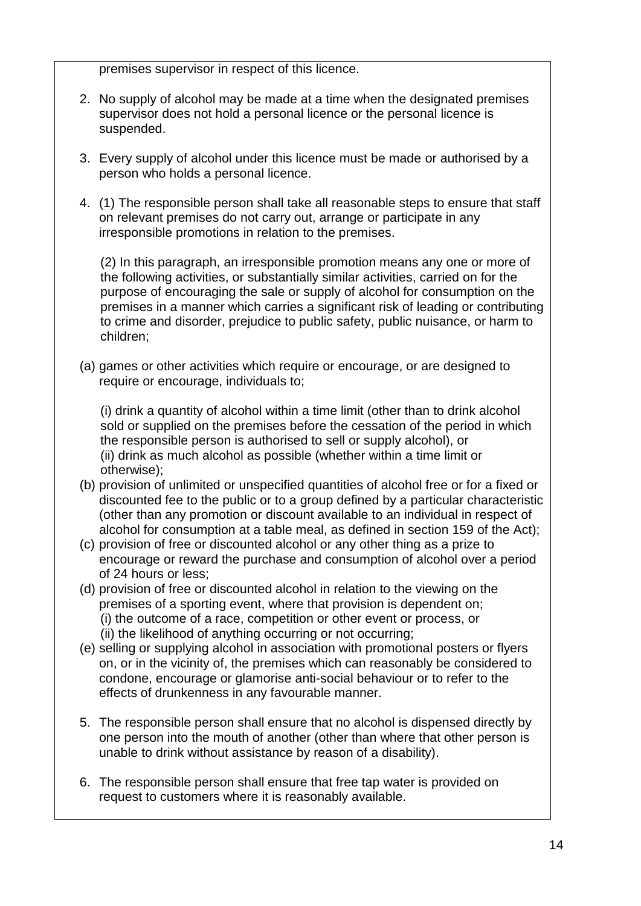premises supervisor in respect of this licence.

- 2. No supply of alcohol may be made at a time when the designated premises supervisor does not hold a personal licence or the personal licence is suspended.
- 3. Every supply of alcohol under this licence must be made or authorised by a person who holds a personal licence.
- 4. (1) The responsible person shall take all reasonable steps to ensure that staff on relevant premises do not carry out, arrange or participate in any irresponsible promotions in relation to the premises.

(2) In this paragraph, an irresponsible promotion means any one or more of the following activities, or substantially similar activities, carried on for the purpose of encouraging the sale or supply of alcohol for consumption on the premises in a manner which carries a significant risk of leading or contributing to crime and disorder, prejudice to public safety, public nuisance, or harm to children;

(a) games or other activities which require or encourage, or are designed to require or encourage, individuals to;

(i) drink a quantity of alcohol within a time limit (other than to drink alcohol sold or supplied on the premises before the cessation of the period in which the responsible person is authorised to sell or supply alcohol), or (ii) drink as much alcohol as possible (whether within a time limit or otherwise);

- (b) provision of unlimited or unspecified quantities of alcohol free or for a fixed or discounted fee to the public or to a group defined by a particular characteristic (other than any promotion or discount available to an individual in respect of alcohol for consumption at a table meal, as defined in section 159 of the Act);
- (c) provision of free or discounted alcohol or any other thing as a prize to encourage or reward the purchase and consumption of alcohol over a period of 24 hours or less;
- (d) provision of free or discounted alcohol in relation to the viewing on the premises of a sporting event, where that provision is dependent on; (i) the outcome of a race, competition or other event or process, or (ii) the likelihood of anything occurring or not occurring;
- (e) selling or supplying alcohol in association with promotional posters or flyers on, or in the vicinity of, the premises which can reasonably be considered to condone, encourage or glamorise anti-social behaviour or to refer to the effects of drunkenness in any favourable manner.
- 5. The responsible person shall ensure that no alcohol is dispensed directly by one person into the mouth of another (other than where that other person is unable to drink without assistance by reason of a disability).
- 6. The responsible person shall ensure that free tap water is provided on request to customers where it is reasonably available.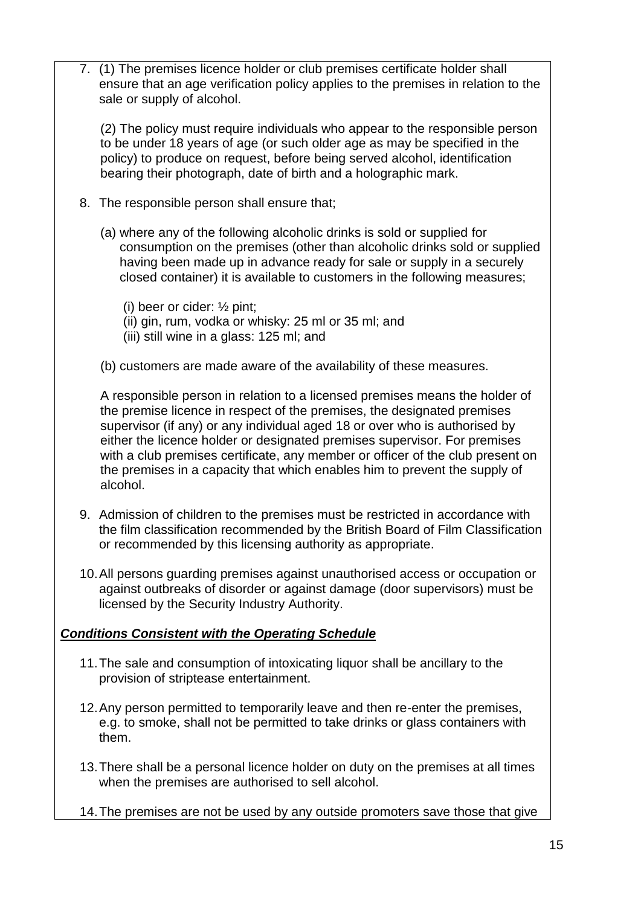7. (1) The premises licence holder or club premises certificate holder shall ensure that an age verification policy applies to the premises in relation to the sale or supply of alcohol.

(2) The policy must require individuals who appear to the responsible person to be under 18 years of age (or such older age as may be specified in the policy) to produce on request, before being served alcohol, identification bearing their photograph, date of birth and a holographic mark.

- 8. The responsible person shall ensure that;
	- (a) where any of the following alcoholic drinks is sold or supplied for consumption on the premises (other than alcoholic drinks sold or supplied having been made up in advance ready for sale or supply in a securely closed container) it is available to customers in the following measures;
		- (i) beer or cider: ½ pint;
		- (ii) gin, rum, vodka or whisky: 25 ml or 35 ml; and
		- (iii) still wine in a glass: 125 ml; and
	- (b) customers are made aware of the availability of these measures.

A responsible person in relation to a licensed premises means the holder of the premise licence in respect of the premises, the designated premises supervisor (if any) or any individual aged 18 or over who is authorised by either the licence holder or designated premises supervisor. For premises with a club premises certificate, any member or officer of the club present on the premises in a capacity that which enables him to prevent the supply of alcohol.

- 9. Admission of children to the premises must be restricted in accordance with the film classification recommended by the British Board of Film Classification or recommended by this licensing authority as appropriate.
- 10.All persons guarding premises against unauthorised access or occupation or against outbreaks of disorder or against damage (door supervisors) must be licensed by the Security Industry Authority.

## *Conditions Consistent with the Operating Schedule*

- 11.The sale and consumption of intoxicating liquor shall be ancillary to the provision of striptease entertainment.
- 12.Any person permitted to temporarily leave and then re-enter the premises, e.g. to smoke, shall not be permitted to take drinks or glass containers with them.
- 13.There shall be a personal licence holder on duty on the premises at all times when the premises are authorised to sell alcohol.
- 14.The premises are not be used by any outside promoters save those that give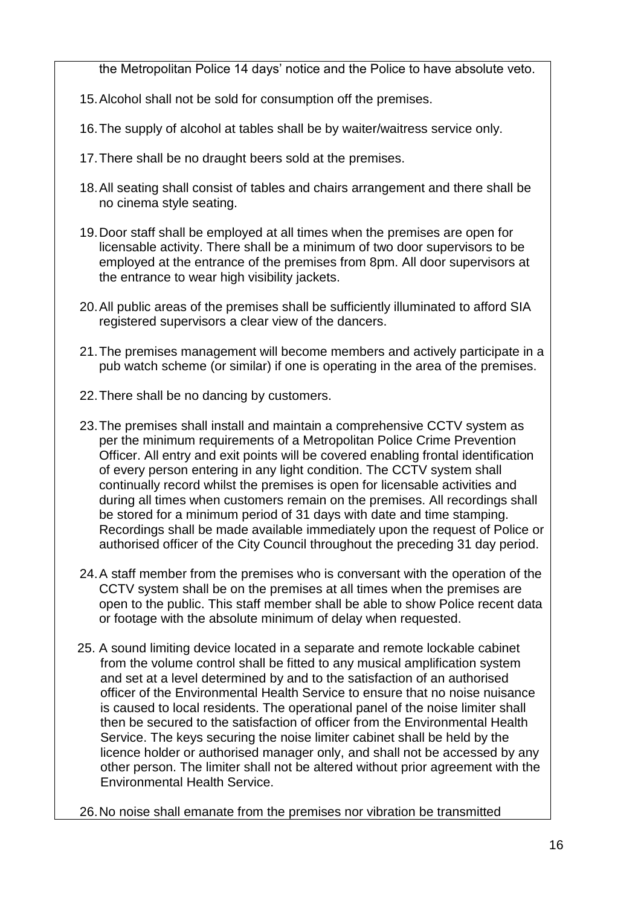the Metropolitan Police 14 days' notice and the Police to have absolute veto.

- 15.Alcohol shall not be sold for consumption off the premises.
- 16.The supply of alcohol at tables shall be by waiter/waitress service only.
- 17.There shall be no draught beers sold at the premises.
- 18.All seating shall consist of tables and chairs arrangement and there shall be no cinema style seating.
- 19.Door staff shall be employed at all times when the premises are open for licensable activity. There shall be a minimum of two door supervisors to be employed at the entrance of the premises from 8pm. All door supervisors at the entrance to wear high visibility jackets.
- 20.All public areas of the premises shall be sufficiently illuminated to afford SIA registered supervisors a clear view of the dancers.
- 21.The premises management will become members and actively participate in a pub watch scheme (or similar) if one is operating in the area of the premises.
- 22.There shall be no dancing by customers.
- 23.The premises shall install and maintain a comprehensive CCTV system as per the minimum requirements of a Metropolitan Police Crime Prevention Officer. All entry and exit points will be covered enabling frontal identification of every person entering in any light condition. The CCTV system shall continually record whilst the premises is open for licensable activities and during all times when customers remain on the premises. All recordings shall be stored for a minimum period of 31 days with date and time stamping. Recordings shall be made available immediately upon the request of Police or authorised officer of the City Council throughout the preceding 31 day period.
- 24.A staff member from the premises who is conversant with the operation of the CCTV system shall be on the premises at all times when the premises are open to the public. This staff member shall be able to show Police recent data or footage with the absolute minimum of delay when requested.
- 25. A sound limiting device located in a separate and remote lockable cabinet from the volume control shall be fitted to any musical amplification system and set at a level determined by and to the satisfaction of an authorised officer of the Environmental Health Service to ensure that no noise nuisance is caused to local residents. The operational panel of the noise limiter shall then be secured to the satisfaction of officer from the Environmental Health Service. The keys securing the noise limiter cabinet shall be held by the licence holder or authorised manager only, and shall not be accessed by any other person. The limiter shall not be altered without prior agreement with the Environmental Health Service.
- 26.No noise shall emanate from the premises nor vibration be transmitted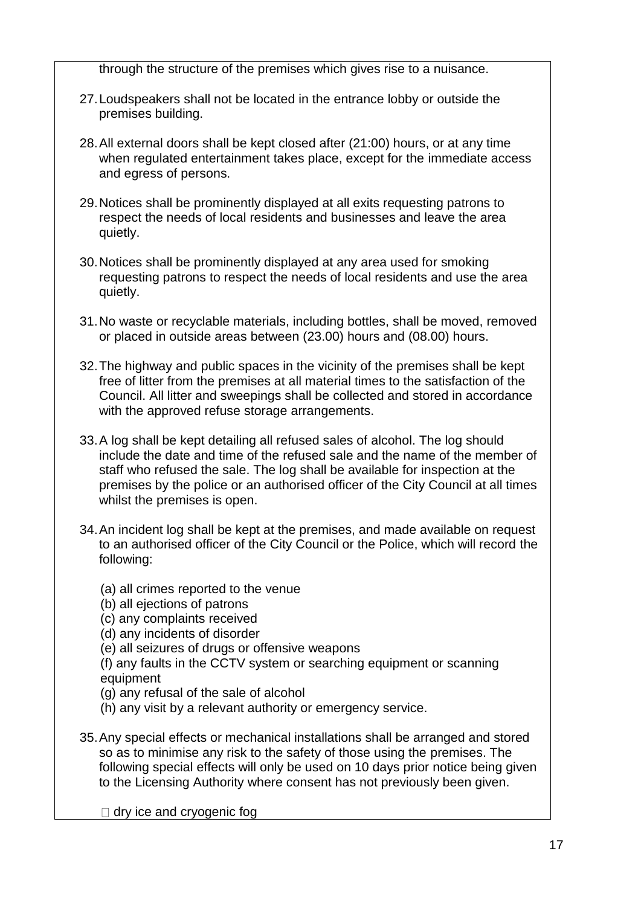through the structure of the premises which gives rise to a nuisance.

- 27.Loudspeakers shall not be located in the entrance lobby or outside the premises building.
- 28.All external doors shall be kept closed after (21:00) hours, or at any time when regulated entertainment takes place, except for the immediate access and egress of persons.
- 29.Notices shall be prominently displayed at all exits requesting patrons to respect the needs of local residents and businesses and leave the area quietly.
- 30.Notices shall be prominently displayed at any area used for smoking requesting patrons to respect the needs of local residents and use the area quietly.
- 31.No waste or recyclable materials, including bottles, shall be moved, removed or placed in outside areas between (23.00) hours and (08.00) hours.
- 32.The highway and public spaces in the vicinity of the premises shall be kept free of litter from the premises at all material times to the satisfaction of the Council. All litter and sweepings shall be collected and stored in accordance with the approved refuse storage arrangements.
- 33.A log shall be kept detailing all refused sales of alcohol. The log should include the date and time of the refused sale and the name of the member of staff who refused the sale. The log shall be available for inspection at the premises by the police or an authorised officer of the City Council at all times whilst the premises is open.
- 34.An incident log shall be kept at the premises, and made available on request to an authorised officer of the City Council or the Police, which will record the following:
	- (a) all crimes reported to the venue
	- (b) all ejections of patrons
	- (c) any complaints received
	- (d) any incidents of disorder
	- (e) all seizures of drugs or offensive weapons
	- (f) any faults in the CCTV system or searching equipment or scanning equipment
	- (g) any refusal of the sale of alcohol
	- (h) any visit by a relevant authority or emergency service.
- 35.Any special effects or mechanical installations shall be arranged and stored so as to minimise any risk to the safety of those using the premises. The following special effects will only be used on 10 days prior notice being given to the Licensing Authority where consent has not previously been given.

 $\Box$  dry ice and cryogenic fog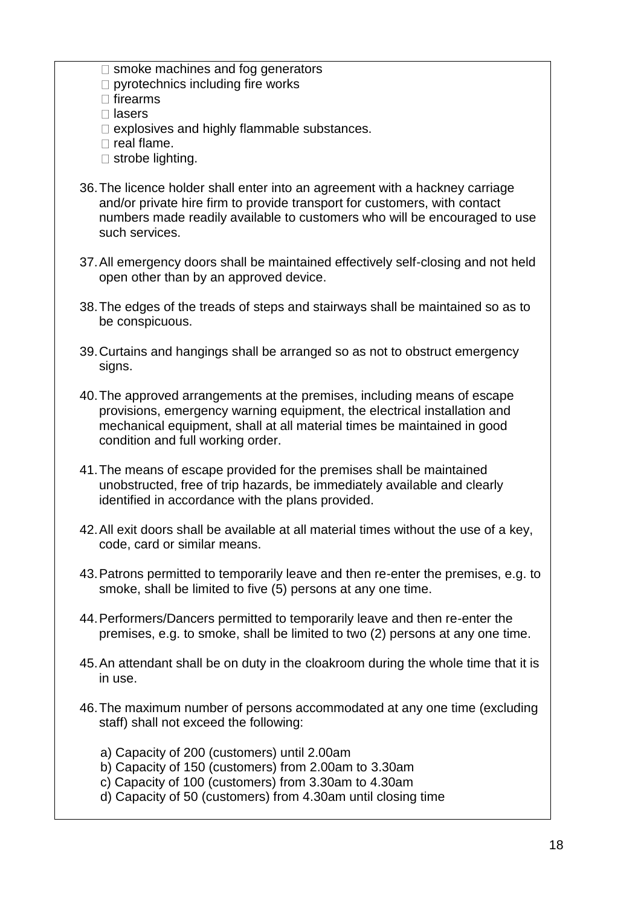- $\Box$  smoke machines and fog generators
- $\Box$  pyrotechnics including fire works
- $\Box$  firearms
- $\Box$  lasers
- $\Box$  explosives and highly flammable substances.
- $\Box$  real flame.
- $\Box$  strobe lighting.
- 36.The licence holder shall enter into an agreement with a hackney carriage and/or private hire firm to provide transport for customers, with contact numbers made readily available to customers who will be encouraged to use such services.
- 37.All emergency doors shall be maintained effectively self-closing and not held open other than by an approved device.
- 38.The edges of the treads of steps and stairways shall be maintained so as to be conspicuous.
- 39.Curtains and hangings shall be arranged so as not to obstruct emergency signs.
- 40.The approved arrangements at the premises, including means of escape provisions, emergency warning equipment, the electrical installation and mechanical equipment, shall at all material times be maintained in good condition and full working order.
- 41.The means of escape provided for the premises shall be maintained unobstructed, free of trip hazards, be immediately available and clearly identified in accordance with the plans provided.
- 42.All exit doors shall be available at all material times without the use of a key, code, card or similar means.
- 43.Patrons permitted to temporarily leave and then re-enter the premises, e.g. to smoke, shall be limited to five (5) persons at any one time.
- 44.Performers/Dancers permitted to temporarily leave and then re-enter the premises, e.g. to smoke, shall be limited to two (2) persons at any one time.
- 45.An attendant shall be on duty in the cloakroom during the whole time that it is in use.
- 46.The maximum number of persons accommodated at any one time (excluding staff) shall not exceed the following:
	- a) Capacity of 200 (customers) until 2.00am
	- b) Capacity of 150 (customers) from 2.00am to 3.30am
	- c) Capacity of 100 (customers) from 3.30am to 4.30am
	- d) Capacity of 50 (customers) from 4.30am until closing time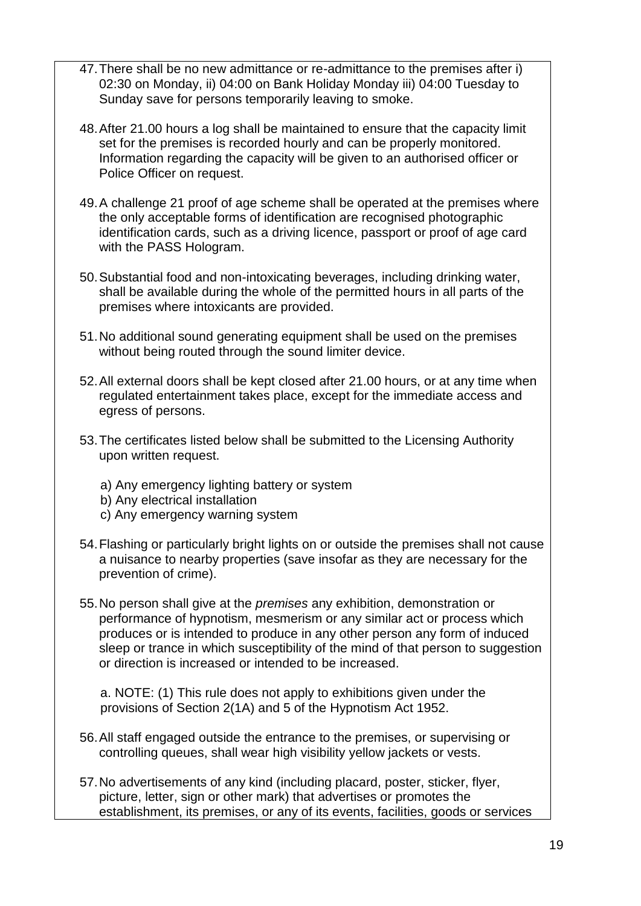- 47.There shall be no new admittance or re-admittance to the premises after i) 02:30 on Monday, ii) 04:00 on Bank Holiday Monday iii) 04:00 Tuesday to Sunday save for persons temporarily leaving to smoke.
- 48.After 21.00 hours a log shall be maintained to ensure that the capacity limit set for the premises is recorded hourly and can be properly monitored. Information regarding the capacity will be given to an authorised officer or Police Officer on request.
- 49.A challenge 21 proof of age scheme shall be operated at the premises where the only acceptable forms of identification are recognised photographic identification cards, such as a driving licence, passport or proof of age card with the PASS Hologram.
- 50.Substantial food and non-intoxicating beverages, including drinking water, shall be available during the whole of the permitted hours in all parts of the premises where intoxicants are provided.
- 51.No additional sound generating equipment shall be used on the premises without being routed through the sound limiter device.
- 52.All external doors shall be kept closed after 21.00 hours, or at any time when regulated entertainment takes place, except for the immediate access and egress of persons.
- 53.The certificates listed below shall be submitted to the Licensing Authority upon written request.
	- a) Any emergency lighting battery or system
	- b) Any electrical installation
	- c) Any emergency warning system
- 54.Flashing or particularly bright lights on or outside the premises shall not cause a nuisance to nearby properties (save insofar as they are necessary for the prevention of crime).
- 55.No person shall give at the *premises* any exhibition, demonstration or performance of hypnotism, mesmerism or any similar act or process which produces or is intended to produce in any other person any form of induced sleep or trance in which susceptibility of the mind of that person to suggestion or direction is increased or intended to be increased.

a. NOTE: (1) This rule does not apply to exhibitions given under the provisions of Section 2(1A) and 5 of the Hypnotism Act 1952.

- 56.All staff engaged outside the entrance to the premises, or supervising or controlling queues, shall wear high visibility yellow jackets or vests.
- 57.No advertisements of any kind (including placard, poster, sticker, flyer, picture, letter, sign or other mark) that advertises or promotes the establishment, its premises, or any of its events, facilities, goods or services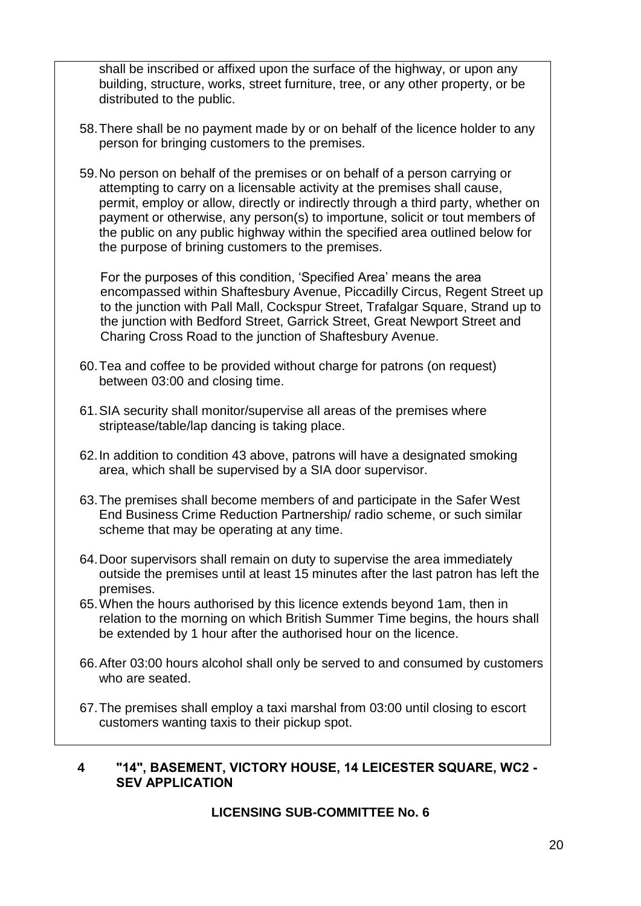shall be inscribed or affixed upon the surface of the highway, or upon any building, structure, works, street furniture, tree, or any other property, or be distributed to the public.

- 58.There shall be no payment made by or on behalf of the licence holder to any person for bringing customers to the premises.
- 59.No person on behalf of the premises or on behalf of a person carrying or attempting to carry on a licensable activity at the premises shall cause, permit, employ or allow, directly or indirectly through a third party, whether on payment or otherwise, any person(s) to importune, solicit or tout members of the public on any public highway within the specified area outlined below for the purpose of brining customers to the premises.

For the purposes of this condition, 'Specified Area' means the area encompassed within Shaftesbury Avenue, Piccadilly Circus, Regent Street up to the junction with Pall Mall, Cockspur Street, Trafalgar Square, Strand up to the junction with Bedford Street, Garrick Street, Great Newport Street and Charing Cross Road to the junction of Shaftesbury Avenue.

- 60.Tea and coffee to be provided without charge for patrons (on request) between 03:00 and closing time.
- 61.SIA security shall monitor/supervise all areas of the premises where striptease/table/lap dancing is taking place.
- 62.In addition to condition 43 above, patrons will have a designated smoking area, which shall be supervised by a SIA door supervisor.
- 63.The premises shall become members of and participate in the Safer West End Business Crime Reduction Partnership/ radio scheme, or such similar scheme that may be operating at any time.
- 64.Door supervisors shall remain on duty to supervise the area immediately outside the premises until at least 15 minutes after the last patron has left the premises.
- 65.When the hours authorised by this licence extends beyond 1am, then in relation to the morning on which British Summer Time begins, the hours shall be extended by 1 hour after the authorised hour on the licence.
- 66.After 03:00 hours alcohol shall only be served to and consumed by customers who are seated.
- 67.The premises shall employ a taxi marshal from 03:00 until closing to escort customers wanting taxis to their pickup spot.

## **4 "14", BASEMENT, VICTORY HOUSE, 14 LEICESTER SQUARE, WC2 - SEV APPLICATION**

## **LICENSING SUB-COMMITTEE No. 6**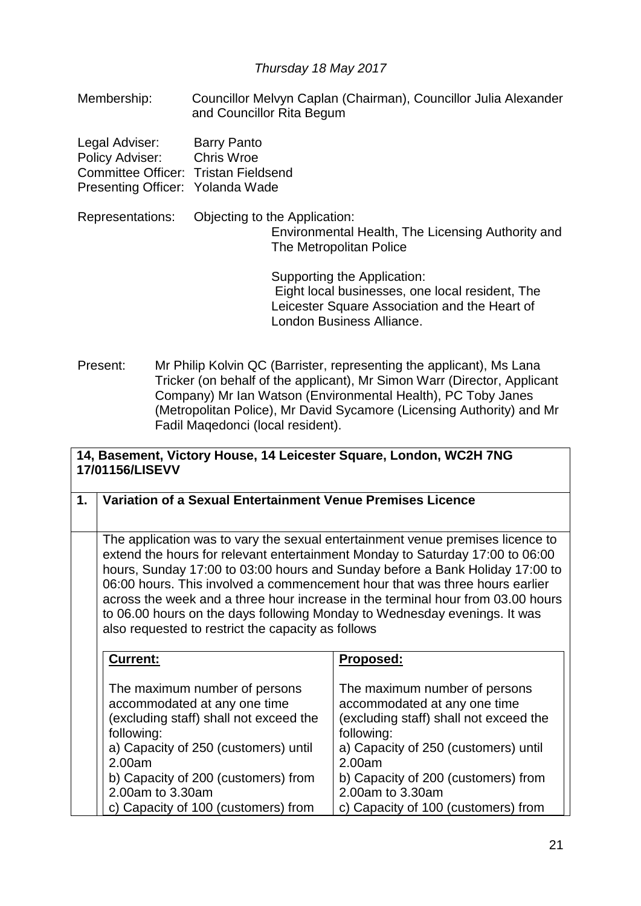## *Thursday 18 May 2017*

Membership: Councillor Melvyn Caplan (Chairman), Councillor Julia Alexander and Councillor Rita Begum

| Legal Adviser:                       | <b>Barry Panto</b> |
|--------------------------------------|--------------------|
| Policy Adviser:                      | <b>Chris Wroe</b>  |
| Committee Officer: Tristan Fieldsend |                    |
| Presenting Officer: Yolanda Wade     |                    |

Representations: Objecting to the Application: Environmental Health, The Licensing Authority and The Metropolitan Police

> Supporting the Application: Eight local businesses, one local resident, The Leicester Square Association and the Heart of London Business Alliance.

Present: Mr Philip Kolvin QC (Barrister, representing the applicant), Ms Lana Tricker (on behalf of the applicant), Mr Simon Warr (Director, Applicant Company) Mr Ian Watson (Environmental Health), PC Toby Janes (Metropolitan Police), Mr David Sycamore (Licensing Authority) and Mr Fadil Maqedonci (local resident).

| 14, Basement, Victory House, 14 Leicester Square, London, WC2H 7NG<br>17/01156/LISEVV |                                                                                                                                                                                                                                                                                                                                                                                                                                                                                                                                                      |                                                                                                                                                                                                                                                                           |
|---------------------------------------------------------------------------------------|------------------------------------------------------------------------------------------------------------------------------------------------------------------------------------------------------------------------------------------------------------------------------------------------------------------------------------------------------------------------------------------------------------------------------------------------------------------------------------------------------------------------------------------------------|---------------------------------------------------------------------------------------------------------------------------------------------------------------------------------------------------------------------------------------------------------------------------|
| 1.                                                                                    | Variation of a Sexual Entertainment Venue Premises Licence                                                                                                                                                                                                                                                                                                                                                                                                                                                                                           |                                                                                                                                                                                                                                                                           |
|                                                                                       | The application was to vary the sexual entertainment venue premises licence to<br>extend the hours for relevant entertainment Monday to Saturday 17:00 to 06:00<br>hours, Sunday 17:00 to 03:00 hours and Sunday before a Bank Holiday 17:00 to<br>06:00 hours. This involved a commencement hour that was three hours earlier<br>across the week and a three hour increase in the terminal hour from 03.00 hours<br>to 06.00 hours on the days following Monday to Wednesday evenings. It was<br>also requested to restrict the capacity as follows |                                                                                                                                                                                                                                                                           |
|                                                                                       | Current:                                                                                                                                                                                                                                                                                                                                                                                                                                                                                                                                             | Proposed:                                                                                                                                                                                                                                                                 |
|                                                                                       | The maximum number of persons<br>accommodated at any one time<br>(excluding staff) shall not exceed the<br>following:<br>a) Capacity of 250 (customers) until<br>2.00am<br>b) Capacity of 200 (customers) from<br>2.00am to 3.30am<br>c) Capacity of 100 (customers) from                                                                                                                                                                                                                                                                            | The maximum number of persons<br>accommodated at any one time<br>(excluding staff) shall not exceed the<br>following:<br>a) Capacity of 250 (customers) until<br>2.00am<br>b) Capacity of 200 (customers) from<br>2.00am to 3.30am<br>c) Capacity of 100 (customers) from |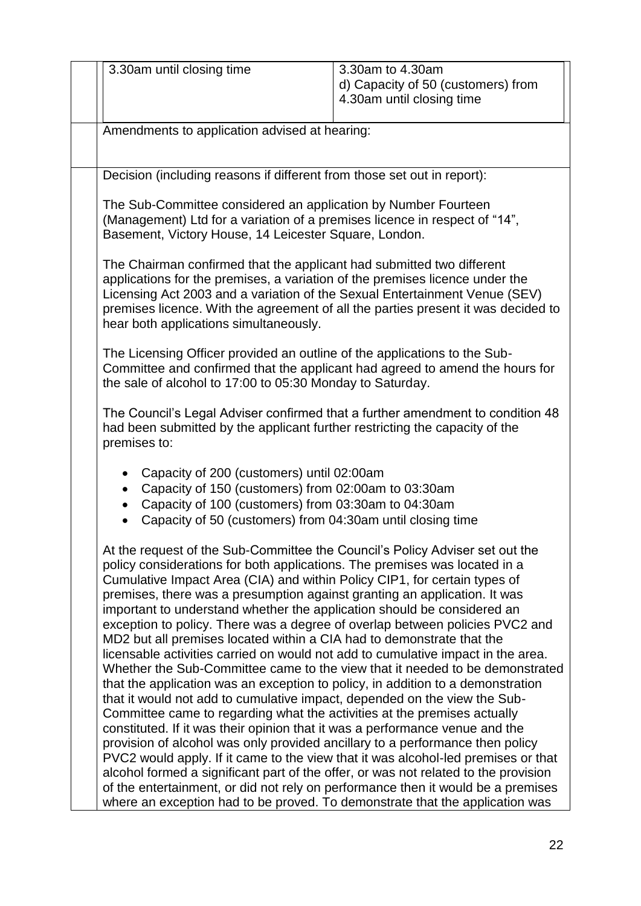| 3.30am until closing time                                                                                                                                                                                                                                                                                                                                                                                                                                                                                                                                                                                                                                                                                                                                                                                                                                                                                                                                                                                                                                                                                                                                                                                                                                                                                                                                                                                 | 3.30am to 4.30am<br>d) Capacity of 50 (customers) from<br>4.30am until closing time |  |
|-----------------------------------------------------------------------------------------------------------------------------------------------------------------------------------------------------------------------------------------------------------------------------------------------------------------------------------------------------------------------------------------------------------------------------------------------------------------------------------------------------------------------------------------------------------------------------------------------------------------------------------------------------------------------------------------------------------------------------------------------------------------------------------------------------------------------------------------------------------------------------------------------------------------------------------------------------------------------------------------------------------------------------------------------------------------------------------------------------------------------------------------------------------------------------------------------------------------------------------------------------------------------------------------------------------------------------------------------------------------------------------------------------------|-------------------------------------------------------------------------------------|--|
| Amendments to application advised at hearing:                                                                                                                                                                                                                                                                                                                                                                                                                                                                                                                                                                                                                                                                                                                                                                                                                                                                                                                                                                                                                                                                                                                                                                                                                                                                                                                                                             |                                                                                     |  |
| Decision (including reasons if different from those set out in report):                                                                                                                                                                                                                                                                                                                                                                                                                                                                                                                                                                                                                                                                                                                                                                                                                                                                                                                                                                                                                                                                                                                                                                                                                                                                                                                                   |                                                                                     |  |
| The Sub-Committee considered an application by Number Fourteen<br>(Management) Ltd for a variation of a premises licence in respect of "14",<br>Basement, Victory House, 14 Leicester Square, London.                                                                                                                                                                                                                                                                                                                                                                                                                                                                                                                                                                                                                                                                                                                                                                                                                                                                                                                                                                                                                                                                                                                                                                                                     |                                                                                     |  |
| The Chairman confirmed that the applicant had submitted two different<br>applications for the premises, a variation of the premises licence under the<br>Licensing Act 2003 and a variation of the Sexual Entertainment Venue (SEV)<br>premises licence. With the agreement of all the parties present it was decided to<br>hear both applications simultaneously.                                                                                                                                                                                                                                                                                                                                                                                                                                                                                                                                                                                                                                                                                                                                                                                                                                                                                                                                                                                                                                        |                                                                                     |  |
| The Licensing Officer provided an outline of the applications to the Sub-<br>Committee and confirmed that the applicant had agreed to amend the hours for<br>the sale of alcohol to 17:00 to 05:30 Monday to Saturday.                                                                                                                                                                                                                                                                                                                                                                                                                                                                                                                                                                                                                                                                                                                                                                                                                                                                                                                                                                                                                                                                                                                                                                                    |                                                                                     |  |
| The Council's Legal Adviser confirmed that a further amendment to condition 48<br>had been submitted by the applicant further restricting the capacity of the<br>premises to:                                                                                                                                                                                                                                                                                                                                                                                                                                                                                                                                                                                                                                                                                                                                                                                                                                                                                                                                                                                                                                                                                                                                                                                                                             |                                                                                     |  |
| Capacity of 200 (customers) until 02:00am<br>Capacity of 150 (customers) from 02:00am to 03:30am<br>Capacity of 100 (customers) from 03:30am to 04:30am<br>Capacity of 50 (customers) from 04:30am until closing time                                                                                                                                                                                                                                                                                                                                                                                                                                                                                                                                                                                                                                                                                                                                                                                                                                                                                                                                                                                                                                                                                                                                                                                     |                                                                                     |  |
| At the request of the Sub-Committee the Council's Policy Adviser set out the<br>policy considerations for both applications. The premises was located in a<br>Cumulative Impact Area (CIA) and within Policy CIP1, for certain types of<br>premises, there was a presumption against granting an application. It was<br>important to understand whether the application should be considered an<br>exception to policy. There was a degree of overlap between policies PVC2 and<br>MD2 but all premises located within a CIA had to demonstrate that the<br>licensable activities carried on would not add to cumulative impact in the area.<br>that the application was an exception to policy, in addition to a demonstration<br>that it would not add to cumulative impact, depended on the view the Sub-<br>Committee came to regarding what the activities at the premises actually<br>constituted. If it was their opinion that it was a performance venue and the<br>provision of alcohol was only provided ancillary to a performance then policy<br>PVC2 would apply. If it came to the view that it was alcohol-led premises or that<br>alcohol formed a significant part of the offer, or was not related to the provision<br>of the entertainment, or did not rely on performance then it would be a premises<br>where an exception had to be proved. To demonstrate that the application was | Whether the Sub-Committee came to the view that it needed to be demonstrated        |  |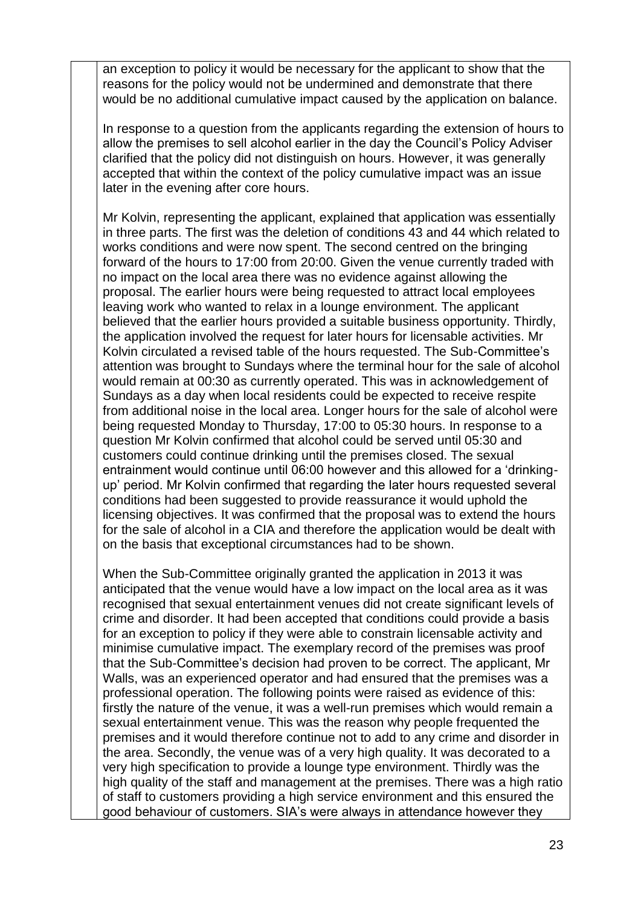an exception to policy it would be necessary for the applicant to show that the reasons for the policy would not be undermined and demonstrate that there would be no additional cumulative impact caused by the application on balance.

In response to a question from the applicants regarding the extension of hours to allow the premises to sell alcohol earlier in the day the Council's Policy Adviser clarified that the policy did not distinguish on hours. However, it was generally accepted that within the context of the policy cumulative impact was an issue later in the evening after core hours.

Mr Kolvin, representing the applicant, explained that application was essentially in three parts. The first was the deletion of conditions 43 and 44 which related to works conditions and were now spent. The second centred on the bringing forward of the hours to 17:00 from 20:00. Given the venue currently traded with no impact on the local area there was no evidence against allowing the proposal. The earlier hours were being requested to attract local employees leaving work who wanted to relax in a lounge environment. The applicant believed that the earlier hours provided a suitable business opportunity. Thirdly, the application involved the request for later hours for licensable activities. Mr Kolvin circulated a revised table of the hours requested. The Sub-Committee's attention was brought to Sundays where the terminal hour for the sale of alcohol would remain at 00:30 as currently operated. This was in acknowledgement of Sundays as a day when local residents could be expected to receive respite from additional noise in the local area. Longer hours for the sale of alcohol were being requested Monday to Thursday, 17:00 to 05:30 hours. In response to a question Mr Kolvin confirmed that alcohol could be served until 05:30 and customers could continue drinking until the premises closed. The sexual entrainment would continue until 06:00 however and this allowed for a 'drinkingup' period. Mr Kolvin confirmed that regarding the later hours requested several conditions had been suggested to provide reassurance it would uphold the licensing objectives. It was confirmed that the proposal was to extend the hours for the sale of alcohol in a CIA and therefore the application would be dealt with on the basis that exceptional circumstances had to be shown.

When the Sub-Committee originally granted the application in 2013 it was anticipated that the venue would have a low impact on the local area as it was recognised that sexual entertainment venues did not create significant levels of crime and disorder. It had been accepted that conditions could provide a basis for an exception to policy if they were able to constrain licensable activity and minimise cumulative impact. The exemplary record of the premises was proof that the Sub-Committee's decision had proven to be correct. The applicant, Mr Walls, was an experienced operator and had ensured that the premises was a professional operation. The following points were raised as evidence of this: firstly the nature of the venue, it was a well-run premises which would remain a sexual entertainment venue. This was the reason why people frequented the premises and it would therefore continue not to add to any crime and disorder in the area. Secondly, the venue was of a very high quality. It was decorated to a very high specification to provide a lounge type environment. Thirdly was the high quality of the staff and management at the premises. There was a high ratio of staff to customers providing a high service environment and this ensured the good behaviour of customers. SIA's were always in attendance however they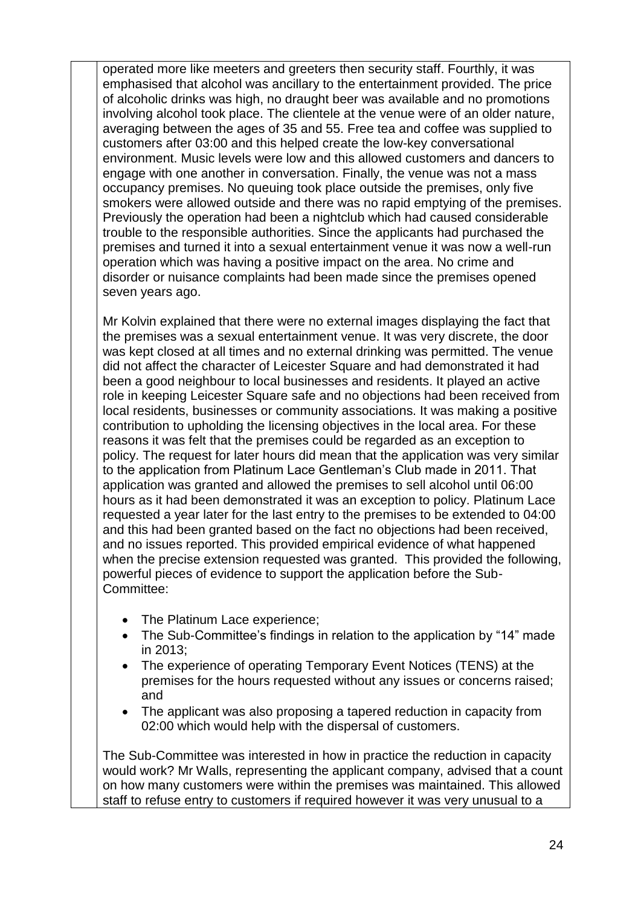operated more like meeters and greeters then security staff. Fourthly, it was emphasised that alcohol was ancillary to the entertainment provided. The price of alcoholic drinks was high, no draught beer was available and no promotions involving alcohol took place. The clientele at the venue were of an older nature, averaging between the ages of 35 and 55. Free tea and coffee was supplied to customers after 03:00 and this helped create the low-key conversational environment. Music levels were low and this allowed customers and dancers to engage with one another in conversation. Finally, the venue was not a mass occupancy premises. No queuing took place outside the premises, only five smokers were allowed outside and there was no rapid emptying of the premises. Previously the operation had been a nightclub which had caused considerable trouble to the responsible authorities. Since the applicants had purchased the premises and turned it into a sexual entertainment venue it was now a well-run operation which was having a positive impact on the area. No crime and disorder or nuisance complaints had been made since the premises opened seven years ago.

Mr Kolvin explained that there were no external images displaying the fact that the premises was a sexual entertainment venue. It was very discrete, the door was kept closed at all times and no external drinking was permitted. The venue did not affect the character of Leicester Square and had demonstrated it had been a good neighbour to local businesses and residents. It played an active role in keeping Leicester Square safe and no objections had been received from local residents, businesses or community associations. It was making a positive contribution to upholding the licensing objectives in the local area. For these reasons it was felt that the premises could be regarded as an exception to policy. The request for later hours did mean that the application was very similar to the application from Platinum Lace Gentleman's Club made in 2011. That application was granted and allowed the premises to sell alcohol until 06:00 hours as it had been demonstrated it was an exception to policy. Platinum Lace requested a year later for the last entry to the premises to be extended to 04:00 and this had been granted based on the fact no objections had been received, and no issues reported. This provided empirical evidence of what happened when the precise extension requested was granted. This provided the following, powerful pieces of evidence to support the application before the Sub-Committee:

- The Platinum Lace experience;
- The Sub-Committee's findings in relation to the application by "14" made in 2013;
- The experience of operating Temporary Event Notices (TENS) at the premises for the hours requested without any issues or concerns raised; and
- The applicant was also proposing a tapered reduction in capacity from 02:00 which would help with the dispersal of customers.

The Sub-Committee was interested in how in practice the reduction in capacity would work? Mr Walls, representing the applicant company, advised that a count on how many customers were within the premises was maintained. This allowed staff to refuse entry to customers if required however it was very unusual to a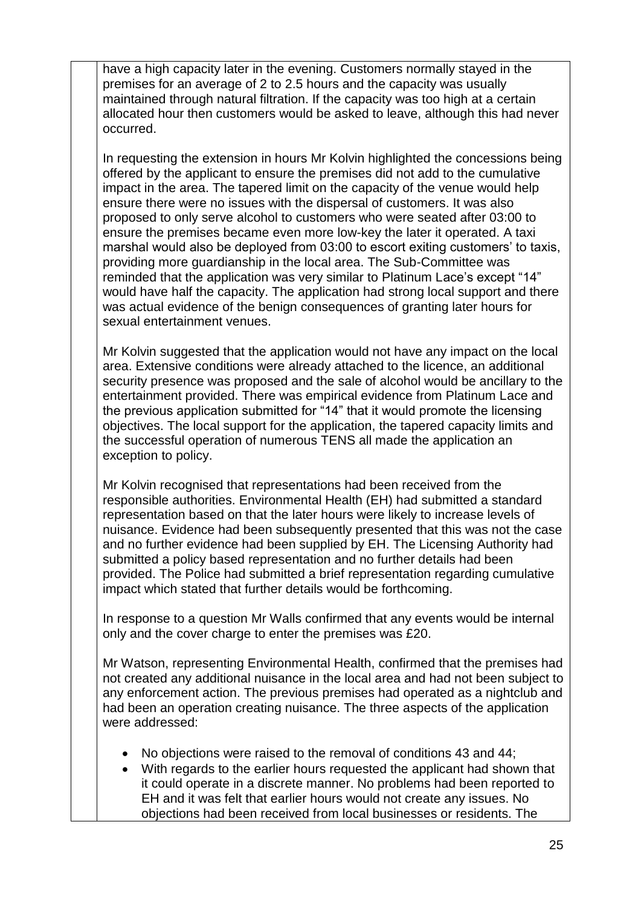have a high capacity later in the evening. Customers normally stayed in the premises for an average of 2 to 2.5 hours and the capacity was usually maintained through natural filtration. If the capacity was too high at a certain allocated hour then customers would be asked to leave, although this had never occurred.

In requesting the extension in hours Mr Kolvin highlighted the concessions being offered by the applicant to ensure the premises did not add to the cumulative impact in the area. The tapered limit on the capacity of the venue would help ensure there were no issues with the dispersal of customers. It was also proposed to only serve alcohol to customers who were seated after 03:00 to ensure the premises became even more low-key the later it operated. A taxi marshal would also be deployed from 03:00 to escort exiting customers' to taxis, providing more guardianship in the local area. The Sub-Committee was reminded that the application was very similar to Platinum Lace's except "14" would have half the capacity. The application had strong local support and there was actual evidence of the benign consequences of granting later hours for sexual entertainment venues.

Mr Kolvin suggested that the application would not have any impact on the local area. Extensive conditions were already attached to the licence, an additional security presence was proposed and the sale of alcohol would be ancillary to the entertainment provided. There was empirical evidence from Platinum Lace and the previous application submitted for "14" that it would promote the licensing objectives. The local support for the application, the tapered capacity limits and the successful operation of numerous TENS all made the application an exception to policy.

Mr Kolvin recognised that representations had been received from the responsible authorities. Environmental Health (EH) had submitted a standard representation based on that the later hours were likely to increase levels of nuisance. Evidence had been subsequently presented that this was not the case and no further evidence had been supplied by EH. The Licensing Authority had submitted a policy based representation and no further details had been provided. The Police had submitted a brief representation regarding cumulative impact which stated that further details would be forthcoming.

In response to a question Mr Walls confirmed that any events would be internal only and the cover charge to enter the premises was £20.

Mr Watson, representing Environmental Health, confirmed that the premises had not created any additional nuisance in the local area and had not been subject to any enforcement action. The previous premises had operated as a nightclub and had been an operation creating nuisance. The three aspects of the application were addressed:

- No objections were raised to the removal of conditions 43 and 44;
- With regards to the earlier hours requested the applicant had shown that it could operate in a discrete manner. No problems had been reported to EH and it was felt that earlier hours would not create any issues. No objections had been received from local businesses or residents. The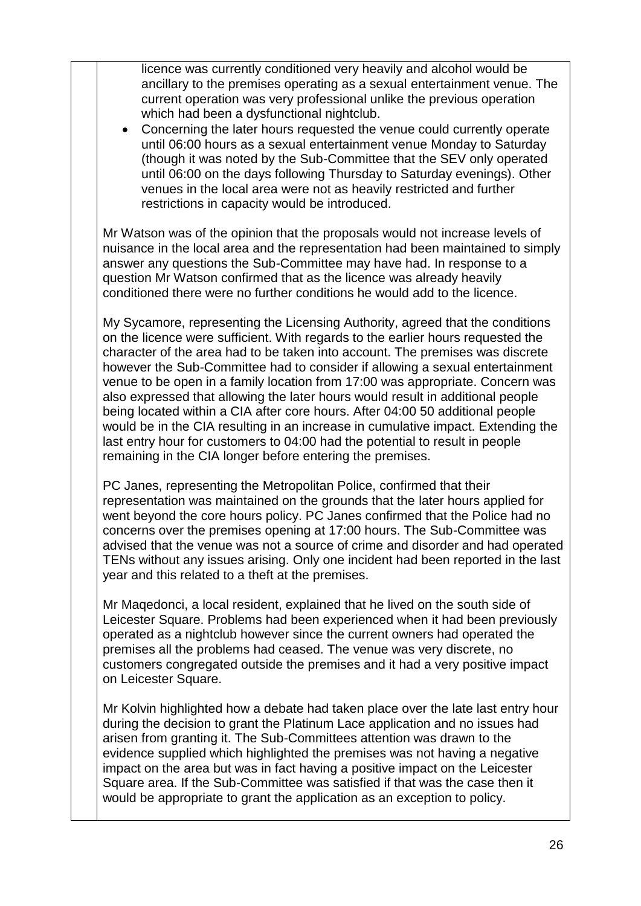licence was currently conditioned very heavily and alcohol would be ancillary to the premises operating as a sexual entertainment venue. The current operation was very professional unlike the previous operation which had been a dysfunctional nightclub.

 Concerning the later hours requested the venue could currently operate until 06:00 hours as a sexual entertainment venue Monday to Saturday (though it was noted by the Sub-Committee that the SEV only operated until 06:00 on the days following Thursday to Saturday evenings). Other venues in the local area were not as heavily restricted and further restrictions in capacity would be introduced.

Mr Watson was of the opinion that the proposals would not increase levels of nuisance in the local area and the representation had been maintained to simply answer any questions the Sub-Committee may have had. In response to a question Mr Watson confirmed that as the licence was already heavily conditioned there were no further conditions he would add to the licence.

My Sycamore, representing the Licensing Authority, agreed that the conditions on the licence were sufficient. With regards to the earlier hours requested the character of the area had to be taken into account. The premises was discrete however the Sub-Committee had to consider if allowing a sexual entertainment venue to be open in a family location from 17:00 was appropriate. Concern was also expressed that allowing the later hours would result in additional people being located within a CIA after core hours. After 04:00 50 additional people would be in the CIA resulting in an increase in cumulative impact. Extending the last entry hour for customers to 04:00 had the potential to result in people remaining in the CIA longer before entering the premises.

PC Janes, representing the Metropolitan Police, confirmed that their representation was maintained on the grounds that the later hours applied for went beyond the core hours policy. PC Janes confirmed that the Police had no concerns over the premises opening at 17:00 hours. The Sub-Committee was advised that the venue was not a source of crime and disorder and had operated TENs without any issues arising. Only one incident had been reported in the last year and this related to a theft at the premises.

Mr Maqedonci, a local resident, explained that he lived on the south side of Leicester Square. Problems had been experienced when it had been previously operated as a nightclub however since the current owners had operated the premises all the problems had ceased. The venue was very discrete, no customers congregated outside the premises and it had a very positive impact on Leicester Square.

Mr Kolvin highlighted how a debate had taken place over the late last entry hour during the decision to grant the Platinum Lace application and no issues had arisen from granting it. The Sub-Committees attention was drawn to the evidence supplied which highlighted the premises was not having a negative impact on the area but was in fact having a positive impact on the Leicester Square area. If the Sub-Committee was satisfied if that was the case then it would be appropriate to grant the application as an exception to policy.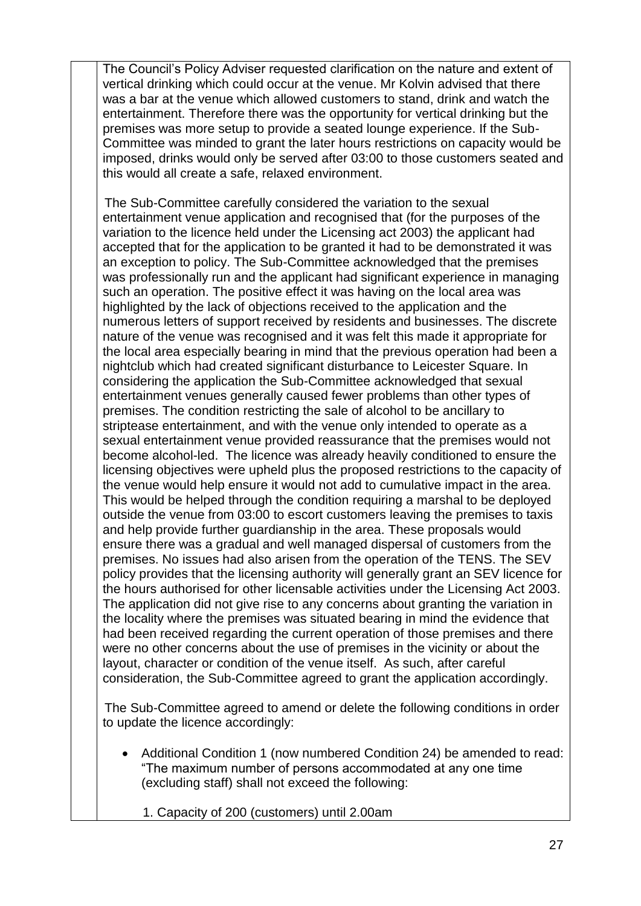The Council's Policy Adviser requested clarification on the nature and extent of vertical drinking which could occur at the venue. Mr Kolvin advised that there was a bar at the venue which allowed customers to stand, drink and watch the entertainment. Therefore there was the opportunity for vertical drinking but the premises was more setup to provide a seated lounge experience. If the Sub-Committee was minded to grant the later hours restrictions on capacity would be imposed, drinks would only be served after 03:00 to those customers seated and this would all create a safe, relaxed environment.

The Sub-Committee carefully considered the variation to the sexual entertainment venue application and recognised that (for the purposes of the variation to the licence held under the Licensing act 2003) the applicant had accepted that for the application to be granted it had to be demonstrated it was an exception to policy. The Sub-Committee acknowledged that the premises was professionally run and the applicant had significant experience in managing such an operation. The positive effect it was having on the local area was highlighted by the lack of objections received to the application and the numerous letters of support received by residents and businesses. The discrete nature of the venue was recognised and it was felt this made it appropriate for the local area especially bearing in mind that the previous operation had been a nightclub which had created significant disturbance to Leicester Square. In considering the application the Sub-Committee acknowledged that sexual entertainment venues generally caused fewer problems than other types of premises. The condition restricting the sale of alcohol to be ancillary to striptease entertainment, and with the venue only intended to operate as a sexual entertainment venue provided reassurance that the premises would not become alcohol-led. The licence was already heavily conditioned to ensure the licensing objectives were upheld plus the proposed restrictions to the capacity of the venue would help ensure it would not add to cumulative impact in the area. This would be helped through the condition requiring a marshal to be deployed outside the venue from 03:00 to escort customers leaving the premises to taxis and help provide further guardianship in the area. These proposals would ensure there was a gradual and well managed dispersal of customers from the premises. No issues had also arisen from the operation of the TENS. The SEV policy provides that the licensing authority will generally grant an SEV licence for the hours authorised for other licensable activities under the Licensing Act 2003. The application did not give rise to any concerns about granting the variation in the locality where the premises was situated bearing in mind the evidence that had been received regarding the current operation of those premises and there were no other concerns about the use of premises in the vicinity or about the layout, character or condition of the venue itself. As such, after careful consideration, the Sub-Committee agreed to grant the application accordingly.

The Sub-Committee agreed to amend or delete the following conditions in order to update the licence accordingly:

- Additional Condition 1 (now numbered Condition 24) be amended to read: "The maximum number of persons accommodated at any one time (excluding staff) shall not exceed the following:
	- 1. Capacity of 200 (customers) until 2.00am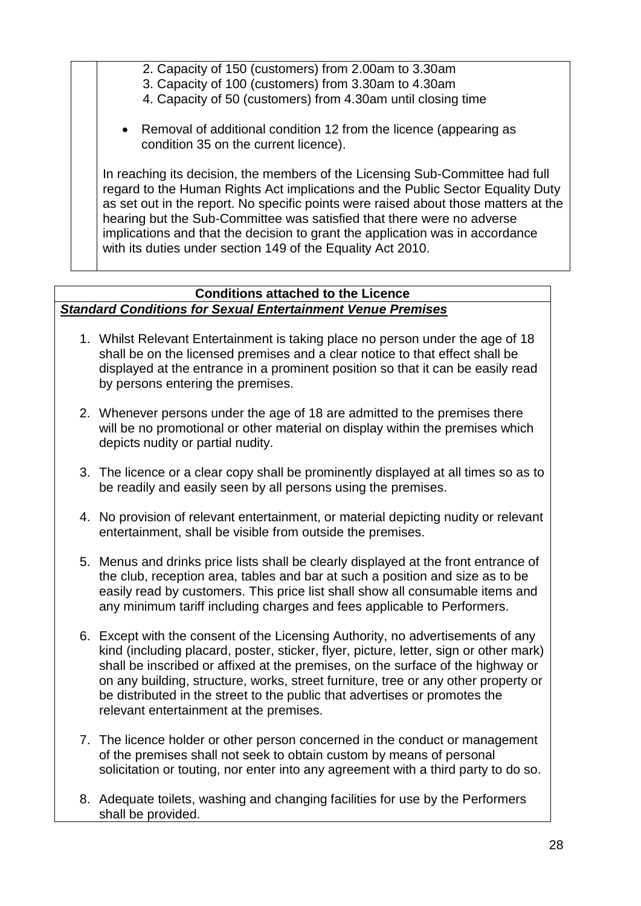- 2. Capacity of 150 (customers) from 2.00am to 3.30am
- 3. Capacity of 100 (customers) from 3.30am to 4.30am
- 4. Capacity of 50 (customers) from 4.30am until closing time
- Removal of additional condition 12 from the licence (appearing as condition 35 on the current licence).

In reaching its decision, the members of the Licensing Sub-Committee had full regard to the Human Rights Act implications and the Public Sector Equality Duty as set out in the report. No specific points were raised about those matters at the hearing but the Sub-Committee was satisfied that there were no adverse implications and that the decision to grant the application was in accordance with its duties under section 149 of the Equality Act 2010.

## **Conditions attached to the Licence** *Standard Conditions for Sexual Entertainment Venue Premises*

- 1. Whilst Relevant Entertainment is taking place no person under the age of 18 shall be on the licensed premises and a clear notice to that effect shall be displayed at the entrance in a prominent position so that it can be easily read by persons entering the premises.
- 2. Whenever persons under the age of 18 are admitted to the premises there will be no promotional or other material on display within the premises which depicts nudity or partial nudity.
- 3. The licence or a clear copy shall be prominently displayed at all times so as to be readily and easily seen by all persons using the premises.
- 4. No provision of relevant entertainment, or material depicting nudity or relevant entertainment, shall be visible from outside the premises.
- 5. Menus and drinks price lists shall be clearly displayed at the front entrance of the club, reception area, tables and bar at such a position and size as to be easily read by customers. This price list shall show all consumable items and any minimum tariff including charges and fees applicable to Performers.
- 6. Except with the consent of the Licensing Authority, no advertisements of any kind (including placard, poster, sticker, flyer, picture, letter, sign or other mark) shall be inscribed or affixed at the premises, on the surface of the highway or on any building, structure, works, street furniture, tree or any other property or be distributed in the street to the public that advertises or promotes the relevant entertainment at the premises.
- 7. The licence holder or other person concerned in the conduct or management of the premises shall not seek to obtain custom by means of personal solicitation or touting, nor enter into any agreement with a third party to do so.
- 8. Adequate toilets, washing and changing facilities for use by the Performers shall be provided.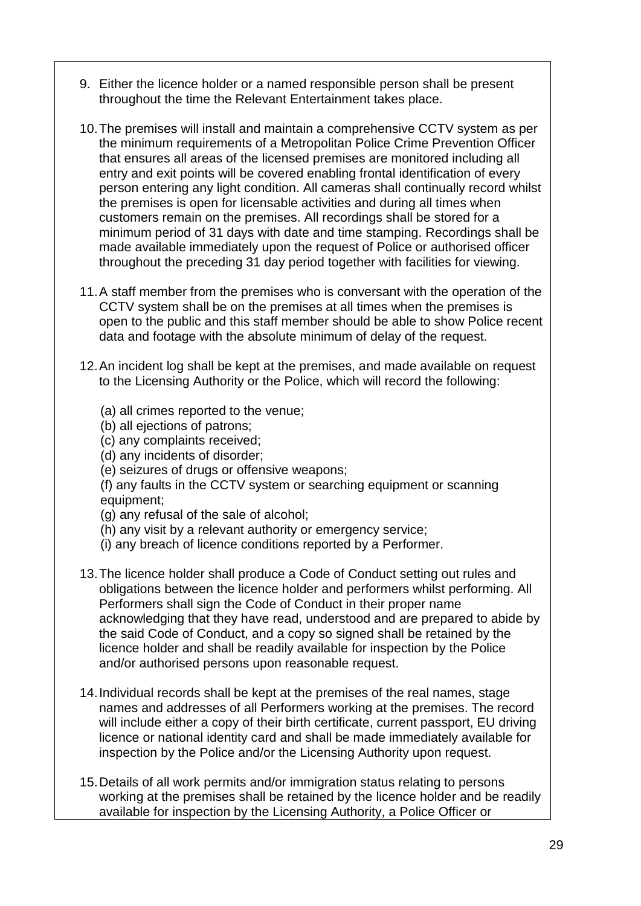- 9. Either the licence holder or a named responsible person shall be present throughout the time the Relevant Entertainment takes place.
- 10.The premises will install and maintain a comprehensive CCTV system as per the minimum requirements of a Metropolitan Police Crime Prevention Officer that ensures all areas of the licensed premises are monitored including all entry and exit points will be covered enabling frontal identification of every person entering any light condition. All cameras shall continually record whilst the premises is open for licensable activities and during all times when customers remain on the premises. All recordings shall be stored for a minimum period of 31 days with date and time stamping. Recordings shall be made available immediately upon the request of Police or authorised officer throughout the preceding 31 day period together with facilities for viewing.
- 11.A staff member from the premises who is conversant with the operation of the CCTV system shall be on the premises at all times when the premises is open to the public and this staff member should be able to show Police recent data and footage with the absolute minimum of delay of the request.
- 12.An incident log shall be kept at the premises, and made available on request to the Licensing Authority or the Police, which will record the following:
	- (a) all crimes reported to the venue;
	- (b) all ejections of patrons;
	- (c) any complaints received;
	- (d) any incidents of disorder;
	- (e) seizures of drugs or offensive weapons;

(f) any faults in the CCTV system or searching equipment or scanning equipment;

- (g) any refusal of the sale of alcohol;
- (h) any visit by a relevant authority or emergency service;
- (i) any breach of licence conditions reported by a Performer.
- 13.The licence holder shall produce a Code of Conduct setting out rules and obligations between the licence holder and performers whilst performing. All Performers shall sign the Code of Conduct in their proper name acknowledging that they have read, understood and are prepared to abide by the said Code of Conduct, and a copy so signed shall be retained by the licence holder and shall be readily available for inspection by the Police and/or authorised persons upon reasonable request.
- 14.Individual records shall be kept at the premises of the real names, stage names and addresses of all Performers working at the premises. The record will include either a copy of their birth certificate, current passport, EU driving licence or national identity card and shall be made immediately available for inspection by the Police and/or the Licensing Authority upon request.
- 15.Details of all work permits and/or immigration status relating to persons working at the premises shall be retained by the licence holder and be readily available for inspection by the Licensing Authority, a Police Officer or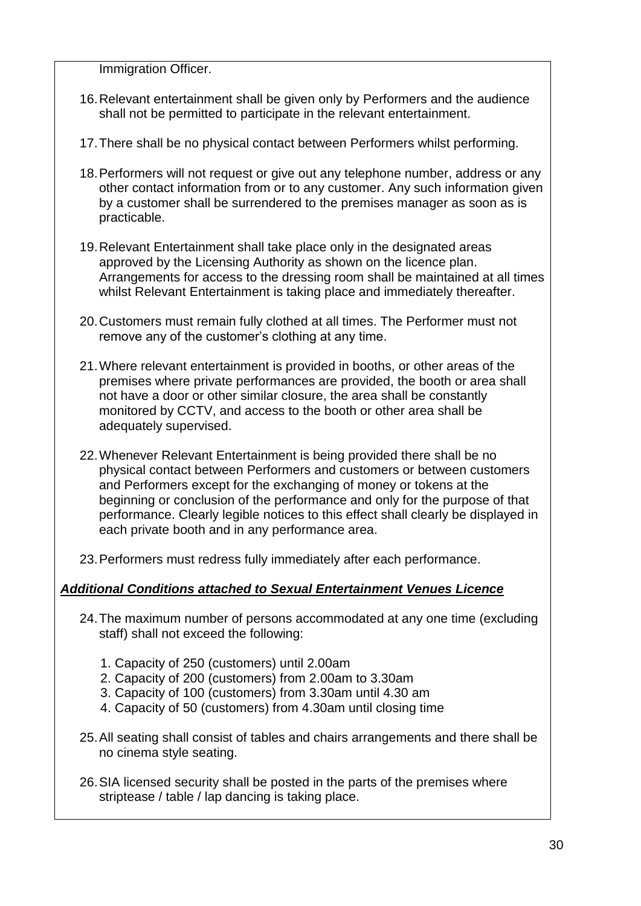Immigration Officer.

- 16.Relevant entertainment shall be given only by Performers and the audience shall not be permitted to participate in the relevant entertainment.
- 17.There shall be no physical contact between Performers whilst performing.
- 18.Performers will not request or give out any telephone number, address or any other contact information from or to any customer. Any such information given by a customer shall be surrendered to the premises manager as soon as is practicable.
- 19.Relevant Entertainment shall take place only in the designated areas approved by the Licensing Authority as shown on the licence plan. Arrangements for access to the dressing room shall be maintained at all times whilst Relevant Entertainment is taking place and immediately thereafter.
- 20.Customers must remain fully clothed at all times. The Performer must not remove any of the customer's clothing at any time.
- 21.Where relevant entertainment is provided in booths, or other areas of the premises where private performances are provided, the booth or area shall not have a door or other similar closure, the area shall be constantly monitored by CCTV, and access to the booth or other area shall be adequately supervised.
- 22.Whenever Relevant Entertainment is being provided there shall be no physical contact between Performers and customers or between customers and Performers except for the exchanging of money or tokens at the beginning or conclusion of the performance and only for the purpose of that performance. Clearly legible notices to this effect shall clearly be displayed in each private booth and in any performance area.
- 23.Performers must redress fully immediately after each performance.

## *Additional Conditions attached to Sexual Entertainment Venues Licence*

- 24.The maximum number of persons accommodated at any one time (excluding staff) shall not exceed the following:
	- 1. Capacity of 250 (customers) until 2.00am
	- 2. Capacity of 200 (customers) from 2.00am to 3.30am
	- 3. Capacity of 100 (customers) from 3.30am until 4.30 am
	- 4. Capacity of 50 (customers) from 4.30am until closing time
- 25.All seating shall consist of tables and chairs arrangements and there shall be no cinema style seating.
- 26.SIA licensed security shall be posted in the parts of the premises where striptease / table / lap dancing is taking place.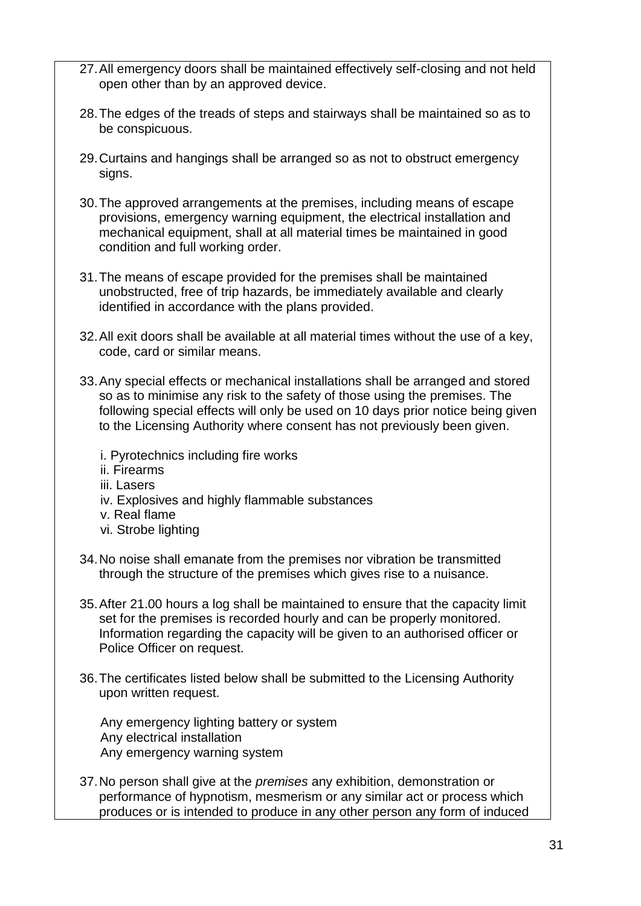- 27.All emergency doors shall be maintained effectively self-closing and not held open other than by an approved device.
- 28.The edges of the treads of steps and stairways shall be maintained so as to be conspicuous.
- 29.Curtains and hangings shall be arranged so as not to obstruct emergency signs.
- 30.The approved arrangements at the premises, including means of escape provisions, emergency warning equipment, the electrical installation and mechanical equipment, shall at all material times be maintained in good condition and full working order.
- 31.The means of escape provided for the premises shall be maintained unobstructed, free of trip hazards, be immediately available and clearly identified in accordance with the plans provided.
- 32.All exit doors shall be available at all material times without the use of a key, code, card or similar means.
- 33.Any special effects or mechanical installations shall be arranged and stored so as to minimise any risk to the safety of those using the premises. The following special effects will only be used on 10 days prior notice being given to the Licensing Authority where consent has not previously been given.
	- i. Pyrotechnics including fire works
	- ii. Firearms
	- iii. Lasers
	- iv. Explosives and highly flammable substances
	- v. Real flame
	- vi. Strobe lighting
- 34.No noise shall emanate from the premises nor vibration be transmitted through the structure of the premises which gives rise to a nuisance.
- 35.After 21.00 hours a log shall be maintained to ensure that the capacity limit set for the premises is recorded hourly and can be properly monitored. Information regarding the capacity will be given to an authorised officer or Police Officer on request.
- 36.The certificates listed below shall be submitted to the Licensing Authority upon written request.

Any emergency lighting battery or system Any electrical installation Any emergency warning system

37.No person shall give at the *premises* any exhibition, demonstration or performance of hypnotism, mesmerism or any similar act or process which produces or is intended to produce in any other person any form of induced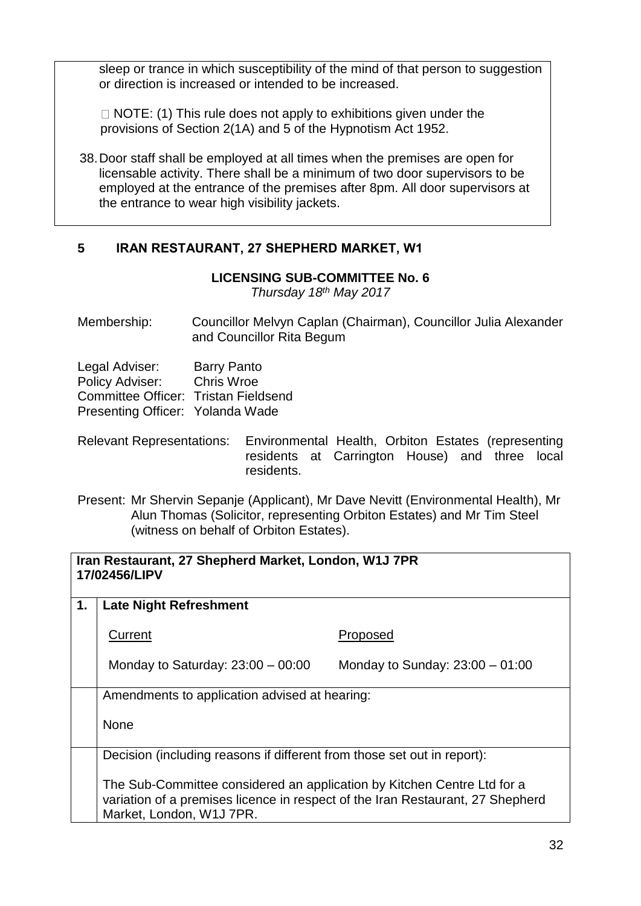sleep or trance in which susceptibility of the mind of that person to suggestion or direction is increased or intended to be increased.

 $\Box$  NOTE: (1) This rule does not apply to exhibitions given under the provisions of Section 2(1A) and 5 of the Hypnotism Act 1952.

38.Door staff shall be employed at all times when the premises are open for licensable activity. There shall be a minimum of two door supervisors to be employed at the entrance of the premises after 8pm. All door supervisors at the entrance to wear high visibility jackets.

# **5 IRAN RESTAURANT, 27 SHEPHERD MARKET, W1**

## **LICENSING SUB-COMMITTEE No. 6**

*Thursday 18th May 2017*

Membership: Councillor Melvyn Caplan (Chairman), Councillor Julia Alexander and Councillor Rita Begum

| <b>Barry Panto</b>                   |
|--------------------------------------|
| Chris Wroe                           |
| Committee Officer: Tristan Fieldsend |
| Presenting Officer: Yolanda Wade     |
|                                      |

- Relevant Representations: Environmental Health, Orbiton Estates (representing residents at Carrington House) and three local residents.
- Present: Mr Shervin Sepanje (Applicant), Mr Dave Nevitt (Environmental Health), Mr Alun Thomas (Solicitor, representing Orbiton Estates) and Mr Tim Steel (witness on behalf of Orbiton Estates).

| Iran Restaurant, 27 Shepherd Market, London, W1J 7PR<br>17/02456/LIPV |                                                                                                                                                                                       |                                   |
|-----------------------------------------------------------------------|---------------------------------------------------------------------------------------------------------------------------------------------------------------------------------------|-----------------------------------|
| 1.                                                                    | <b>Late Night Refreshment</b>                                                                                                                                                         |                                   |
|                                                                       | Current                                                                                                                                                                               | Proposed                          |
|                                                                       | Monday to Saturday: $23:00 - 00:00$                                                                                                                                                   | Monday to Sunday: $23:00 - 01:00$ |
|                                                                       | Amendments to application advised at hearing:                                                                                                                                         |                                   |
|                                                                       | <b>None</b>                                                                                                                                                                           |                                   |
|                                                                       | Decision (including reasons if different from those set out in report):                                                                                                               |                                   |
|                                                                       | The Sub-Committee considered an application by Kitchen Centre Ltd for a<br>variation of a premises licence in respect of the Iran Restaurant, 27 Shepherd<br>Market, London, W1J 7PR. |                                   |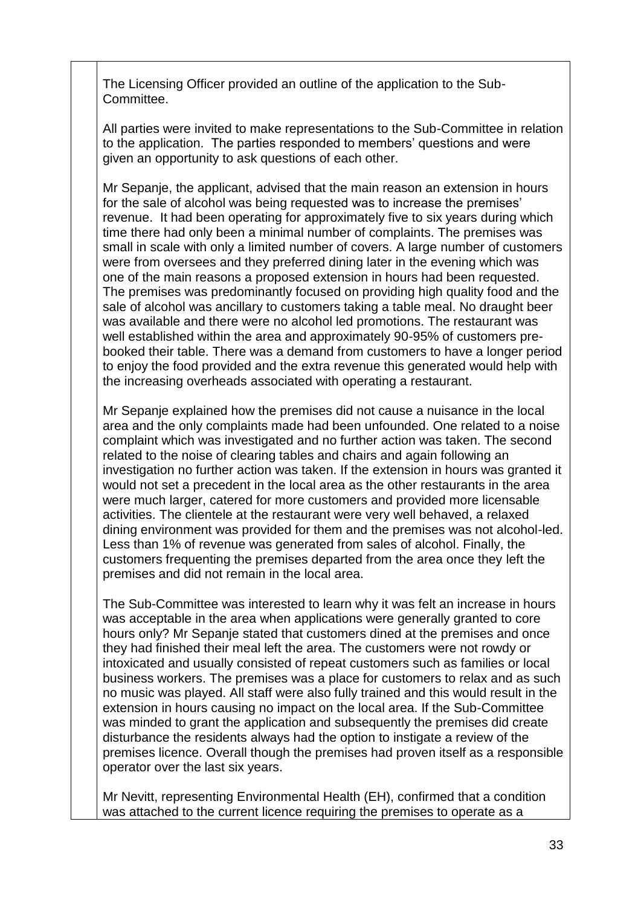The Licensing Officer provided an outline of the application to the Sub-Committee.

All parties were invited to make representations to the Sub-Committee in relation to the application. The parties responded to members' questions and were given an opportunity to ask questions of each other.

Mr Sepanje, the applicant, advised that the main reason an extension in hours for the sale of alcohol was being requested was to increase the premises' revenue. It had been operating for approximately five to six years during which time there had only been a minimal number of complaints. The premises was small in scale with only a limited number of covers. A large number of customers were from oversees and they preferred dining later in the evening which was one of the main reasons a proposed extension in hours had been requested. The premises was predominantly focused on providing high quality food and the sale of alcohol was ancillary to customers taking a table meal. No draught beer was available and there were no alcohol led promotions. The restaurant was well established within the area and approximately 90-95% of customers prebooked their table. There was a demand from customers to have a longer period to enjoy the food provided and the extra revenue this generated would help with the increasing overheads associated with operating a restaurant.

Mr Sepanje explained how the premises did not cause a nuisance in the local area and the only complaints made had been unfounded. One related to a noise complaint which was investigated and no further action was taken. The second related to the noise of clearing tables and chairs and again following an investigation no further action was taken. If the extension in hours was granted it would not set a precedent in the local area as the other restaurants in the area were much larger, catered for more customers and provided more licensable activities. The clientele at the restaurant were very well behaved, a relaxed dining environment was provided for them and the premises was not alcohol-led. Less than 1% of revenue was generated from sales of alcohol. Finally, the customers frequenting the premises departed from the area once they left the premises and did not remain in the local area.

The Sub-Committee was interested to learn why it was felt an increase in hours was acceptable in the area when applications were generally granted to core hours only? Mr Sepanje stated that customers dined at the premises and once they had finished their meal left the area. The customers were not rowdy or intoxicated and usually consisted of repeat customers such as families or local business workers. The premises was a place for customers to relax and as such no music was played. All staff were also fully trained and this would result in the extension in hours causing no impact on the local area. If the Sub-Committee was minded to grant the application and subsequently the premises did create disturbance the residents always had the option to instigate a review of the premises licence. Overall though the premises had proven itself as a responsible operator over the last six years.

Mr Nevitt, representing Environmental Health (EH), confirmed that a condition was attached to the current licence requiring the premises to operate as a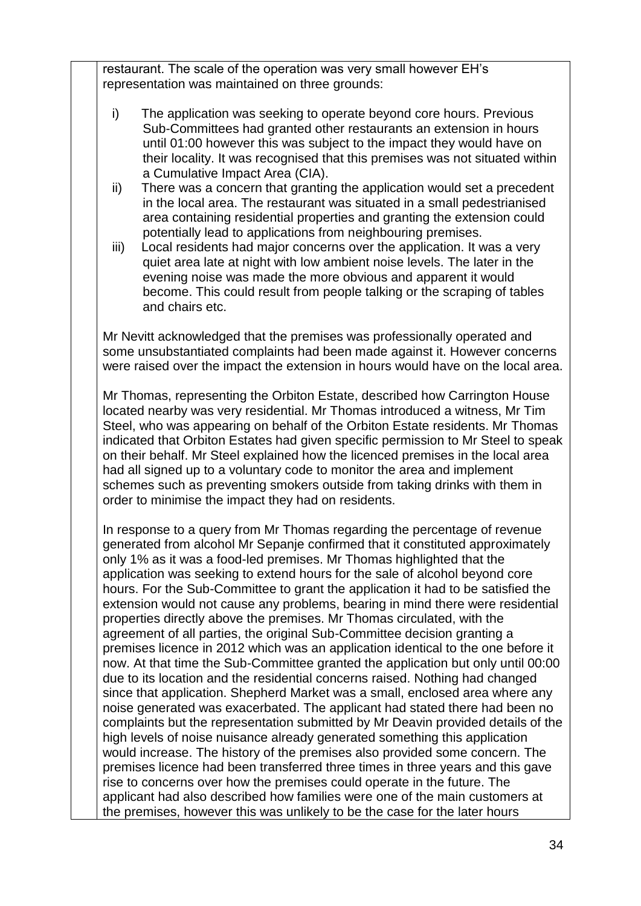restaurant. The scale of the operation was very small however EH's representation was maintained on three grounds:

- i) The application was seeking to operate beyond core hours. Previous Sub-Committees had granted other restaurants an extension in hours until 01:00 however this was subject to the impact they would have on their locality. It was recognised that this premises was not situated within a Cumulative Impact Area (CIA).
- ii) There was a concern that granting the application would set a precedent in the local area. The restaurant was situated in a small pedestrianised area containing residential properties and granting the extension could potentially lead to applications from neighbouring premises.
- iii) Local residents had major concerns over the application. It was a very quiet area late at night with low ambient noise levels. The later in the evening noise was made the more obvious and apparent it would become. This could result from people talking or the scraping of tables and chairs etc.

Mr Nevitt acknowledged that the premises was professionally operated and some unsubstantiated complaints had been made against it. However concerns were raised over the impact the extension in hours would have on the local area.

Mr Thomas, representing the Orbiton Estate, described how Carrington House located nearby was very residential. Mr Thomas introduced a witness, Mr Tim Steel, who was appearing on behalf of the Orbiton Estate residents. Mr Thomas indicated that Orbiton Estates had given specific permission to Mr Steel to speak on their behalf. Mr Steel explained how the licenced premises in the local area had all signed up to a voluntary code to monitor the area and implement schemes such as preventing smokers outside from taking drinks with them in order to minimise the impact they had on residents.

In response to a query from Mr Thomas regarding the percentage of revenue generated from alcohol Mr Sepanje confirmed that it constituted approximately only 1% as it was a food-led premises. Mr Thomas highlighted that the application was seeking to extend hours for the sale of alcohol beyond core hours. For the Sub-Committee to grant the application it had to be satisfied the extension would not cause any problems, bearing in mind there were residential properties directly above the premises. Mr Thomas circulated, with the agreement of all parties, the original Sub-Committee decision granting a premises licence in 2012 which was an application identical to the one before it now. At that time the Sub-Committee granted the application but only until 00:00 due to its location and the residential concerns raised. Nothing had changed since that application. Shepherd Market was a small, enclosed area where any noise generated was exacerbated. The applicant had stated there had been no complaints but the representation submitted by Mr Deavin provided details of the high levels of noise nuisance already generated something this application would increase. The history of the premises also provided some concern. The premises licence had been transferred three times in three years and this gave rise to concerns over how the premises could operate in the future. The applicant had also described how families were one of the main customers at the premises, however this was unlikely to be the case for the later hours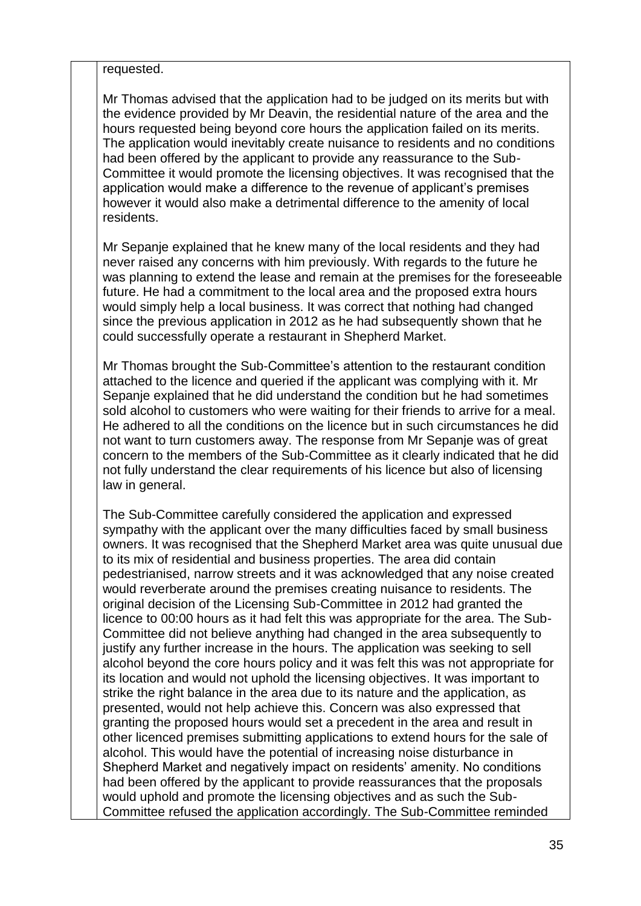requested.

Mr Thomas advised that the application had to be judged on its merits but with the evidence provided by Mr Deavin, the residential nature of the area and the hours requested being beyond core hours the application failed on its merits. The application would inevitably create nuisance to residents and no conditions had been offered by the applicant to provide any reassurance to the Sub-Committee it would promote the licensing objectives. It was recognised that the application would make a difference to the revenue of applicant's premises however it would also make a detrimental difference to the amenity of local residents.

Mr Sepanje explained that he knew many of the local residents and they had never raised any concerns with him previously. With regards to the future he was planning to extend the lease and remain at the premises for the foreseeable future. He had a commitment to the local area and the proposed extra hours would simply help a local business. It was correct that nothing had changed since the previous application in 2012 as he had subsequently shown that he could successfully operate a restaurant in Shepherd Market.

Mr Thomas brought the Sub-Committee's attention to the restaurant condition attached to the licence and queried if the applicant was complying with it. Mr Sepanje explained that he did understand the condition but he had sometimes sold alcohol to customers who were waiting for their friends to arrive for a meal. He adhered to all the conditions on the licence but in such circumstances he did not want to turn customers away. The response from Mr Sepanje was of great concern to the members of the Sub-Committee as it clearly indicated that he did not fully understand the clear requirements of his licence but also of licensing law in general.

The Sub-Committee carefully considered the application and expressed sympathy with the applicant over the many difficulties faced by small business owners. It was recognised that the Shepherd Market area was quite unusual due to its mix of residential and business properties. The area did contain pedestrianised, narrow streets and it was acknowledged that any noise created would reverberate around the premises creating nuisance to residents. The original decision of the Licensing Sub-Committee in 2012 had granted the licence to 00:00 hours as it had felt this was appropriate for the area. The Sub-Committee did not believe anything had changed in the area subsequently to justify any further increase in the hours. The application was seeking to sell alcohol beyond the core hours policy and it was felt this was not appropriate for its location and would not uphold the licensing objectives. It was important to strike the right balance in the area due to its nature and the application, as presented, would not help achieve this. Concern was also expressed that granting the proposed hours would set a precedent in the area and result in other licenced premises submitting applications to extend hours for the sale of alcohol. This would have the potential of increasing noise disturbance in Shepherd Market and negatively impact on residents' amenity. No conditions had been offered by the applicant to provide reassurances that the proposals would uphold and promote the licensing objectives and as such the Sub-Committee refused the application accordingly. The Sub-Committee reminded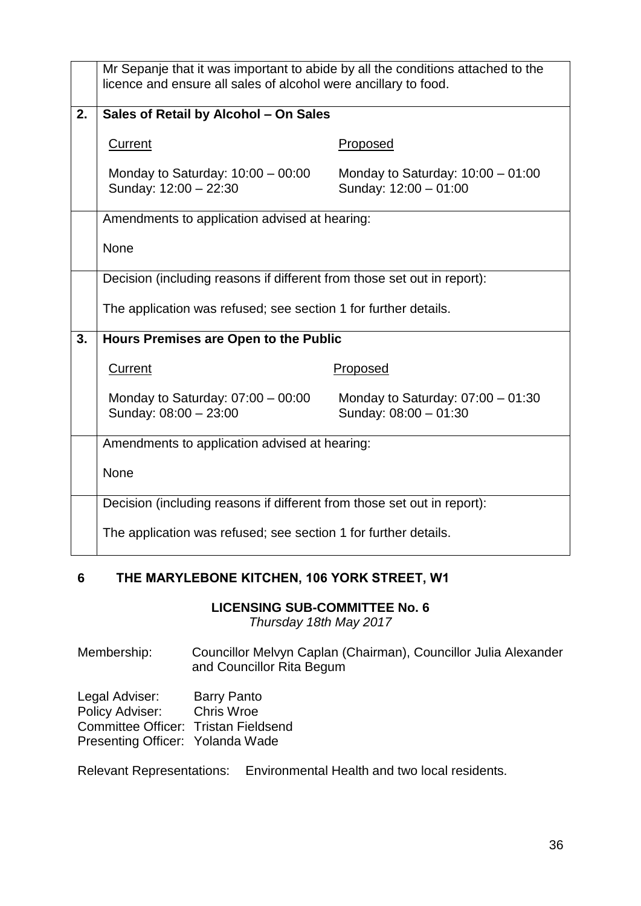|    | Mr Sepanje that it was important to abide by all the conditions attached to the<br>licence and ensure all sales of alcohol were ancillary to food. |                                                              |  |
|----|----------------------------------------------------------------------------------------------------------------------------------------------------|--------------------------------------------------------------|--|
| 2. | Sales of Retail by Alcohol - On Sales                                                                                                              |                                                              |  |
|    | <b>Current</b>                                                                                                                                     | Proposed                                                     |  |
|    | Monday to Saturday: $10:00 - 00:00$<br>Sunday: 12:00 - 22:30                                                                                       | Monday to Saturday: $10:00 - 01:00$<br>Sunday: 12:00 - 01:00 |  |
|    | Amendments to application advised at hearing:                                                                                                      |                                                              |  |
|    | <b>None</b>                                                                                                                                        |                                                              |  |
|    | Decision (including reasons if different from those set out in report):                                                                            |                                                              |  |
|    | The application was refused; see section 1 for further details.                                                                                    |                                                              |  |
| 3. | Hours Premises are Open to the Public                                                                                                              |                                                              |  |
|    | <b>Current</b>                                                                                                                                     | Proposed                                                     |  |
|    | Monday to Saturday: $07:00 - 00:00$<br>Sunday: 08:00 - 23:00                                                                                       | Monday to Saturday: $07:00 - 01:30$<br>Sunday: 08:00 - 01:30 |  |
|    | Amendments to application advised at hearing:                                                                                                      |                                                              |  |
|    | None                                                                                                                                               |                                                              |  |
|    | Decision (including reasons if different from those set out in report):                                                                            |                                                              |  |
|    | The application was refused; see section 1 for further details.                                                                                    |                                                              |  |

# **6 THE MARYLEBONE KITCHEN, 106 YORK STREET, W1**

#### **LICENSING SUB-COMMITTEE No. 6**

*Thursday 18th May 2017*

Membership: Councillor Melvyn Caplan (Chairman), Councillor Julia Alexander and Councillor Rita Begum

Legal Adviser: Barry Panto Policy Adviser: Chris Wroe Committee Officer: Tristan Fieldsend Presenting Officer: Yolanda Wade

Relevant Representations: Environmental Health and two local residents.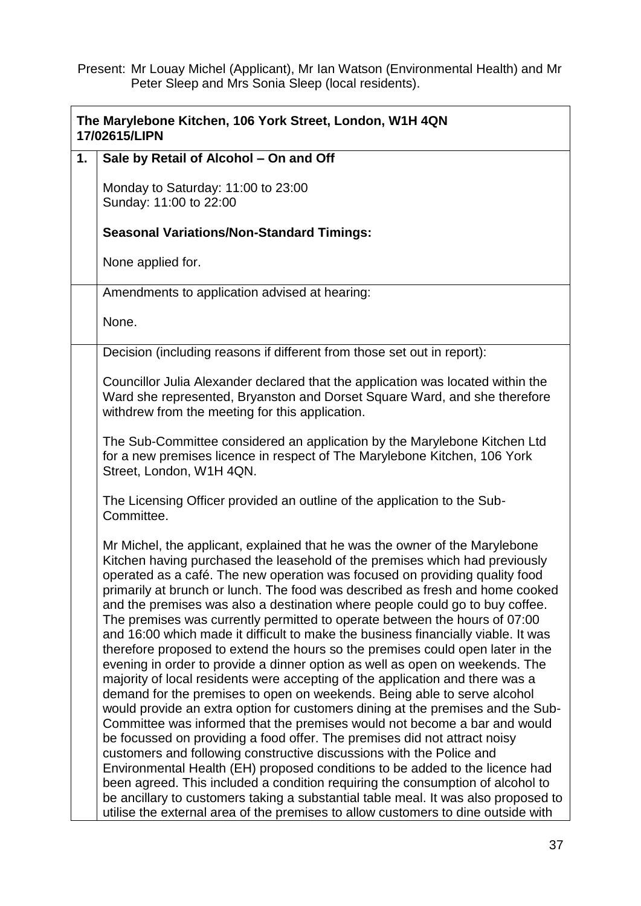Present: Mr Louay Michel (Applicant), Mr Ian Watson (Environmental Health) and Mr Peter Sleep and Mrs Sonia Sleep (local residents).

| The Marylebone Kitchen, 106 York Street, London, W1H 4QN<br>17/02615/LIPN |                                                                                                                                                                                                                                                                                                                                                                                                                                                                                                                                                                                                                                                                                                                                                                                                                                                                                                                                                                                                                                                                                                                                                                                                                                                                                                                                                                                                                                                                                                                                                                                |  |
|---------------------------------------------------------------------------|--------------------------------------------------------------------------------------------------------------------------------------------------------------------------------------------------------------------------------------------------------------------------------------------------------------------------------------------------------------------------------------------------------------------------------------------------------------------------------------------------------------------------------------------------------------------------------------------------------------------------------------------------------------------------------------------------------------------------------------------------------------------------------------------------------------------------------------------------------------------------------------------------------------------------------------------------------------------------------------------------------------------------------------------------------------------------------------------------------------------------------------------------------------------------------------------------------------------------------------------------------------------------------------------------------------------------------------------------------------------------------------------------------------------------------------------------------------------------------------------------------------------------------------------------------------------------------|--|
| 1.                                                                        | Sale by Retail of Alcohol - On and Off                                                                                                                                                                                                                                                                                                                                                                                                                                                                                                                                                                                                                                                                                                                                                                                                                                                                                                                                                                                                                                                                                                                                                                                                                                                                                                                                                                                                                                                                                                                                         |  |
|                                                                           | Monday to Saturday: 11:00 to 23:00<br>Sunday: 11:00 to 22:00                                                                                                                                                                                                                                                                                                                                                                                                                                                                                                                                                                                                                                                                                                                                                                                                                                                                                                                                                                                                                                                                                                                                                                                                                                                                                                                                                                                                                                                                                                                   |  |
|                                                                           | <b>Seasonal Variations/Non-Standard Timings:</b>                                                                                                                                                                                                                                                                                                                                                                                                                                                                                                                                                                                                                                                                                                                                                                                                                                                                                                                                                                                                                                                                                                                                                                                                                                                                                                                                                                                                                                                                                                                               |  |
|                                                                           | None applied for.                                                                                                                                                                                                                                                                                                                                                                                                                                                                                                                                                                                                                                                                                                                                                                                                                                                                                                                                                                                                                                                                                                                                                                                                                                                                                                                                                                                                                                                                                                                                                              |  |
|                                                                           | Amendments to application advised at hearing:                                                                                                                                                                                                                                                                                                                                                                                                                                                                                                                                                                                                                                                                                                                                                                                                                                                                                                                                                                                                                                                                                                                                                                                                                                                                                                                                                                                                                                                                                                                                  |  |
|                                                                           | None.                                                                                                                                                                                                                                                                                                                                                                                                                                                                                                                                                                                                                                                                                                                                                                                                                                                                                                                                                                                                                                                                                                                                                                                                                                                                                                                                                                                                                                                                                                                                                                          |  |
|                                                                           | Decision (including reasons if different from those set out in report):                                                                                                                                                                                                                                                                                                                                                                                                                                                                                                                                                                                                                                                                                                                                                                                                                                                                                                                                                                                                                                                                                                                                                                                                                                                                                                                                                                                                                                                                                                        |  |
|                                                                           | Councillor Julia Alexander declared that the application was located within the<br>Ward she represented, Bryanston and Dorset Square Ward, and she therefore<br>withdrew from the meeting for this application.                                                                                                                                                                                                                                                                                                                                                                                                                                                                                                                                                                                                                                                                                                                                                                                                                                                                                                                                                                                                                                                                                                                                                                                                                                                                                                                                                                |  |
|                                                                           | The Sub-Committee considered an application by the Marylebone Kitchen Ltd<br>for a new premises licence in respect of The Marylebone Kitchen, 106 York<br>Street, London, W1H 4QN.                                                                                                                                                                                                                                                                                                                                                                                                                                                                                                                                                                                                                                                                                                                                                                                                                                                                                                                                                                                                                                                                                                                                                                                                                                                                                                                                                                                             |  |
|                                                                           | The Licensing Officer provided an outline of the application to the Sub-<br>Committee.                                                                                                                                                                                                                                                                                                                                                                                                                                                                                                                                                                                                                                                                                                                                                                                                                                                                                                                                                                                                                                                                                                                                                                                                                                                                                                                                                                                                                                                                                         |  |
|                                                                           | Mr Michel, the applicant, explained that he was the owner of the Marylebone<br>Kitchen having purchased the leasehold of the premises which had previously<br>operated as a café. The new operation was focused on providing quality food<br>primarily at brunch or lunch. The food was described as fresh and home cooked<br>and the premises was also a destination where people could go to buy coffee.<br>The premises was currently permitted to operate between the hours of 07:00<br>and 16:00 which made it difficult to make the business financially viable. It was<br>therefore proposed to extend the hours so the premises could open later in the<br>evening in order to provide a dinner option as well as open on weekends. The<br>majority of local residents were accepting of the application and there was a<br>demand for the premises to open on weekends. Being able to serve alcohol<br>would provide an extra option for customers dining at the premises and the Sub-<br>Committee was informed that the premises would not become a bar and would<br>be focussed on providing a food offer. The premises did not attract noisy<br>customers and following constructive discussions with the Police and<br>Environmental Health (EH) proposed conditions to be added to the licence had<br>been agreed. This included a condition requiring the consumption of alcohol to<br>be ancillary to customers taking a substantial table meal. It was also proposed to<br>utilise the external area of the premises to allow customers to dine outside with |  |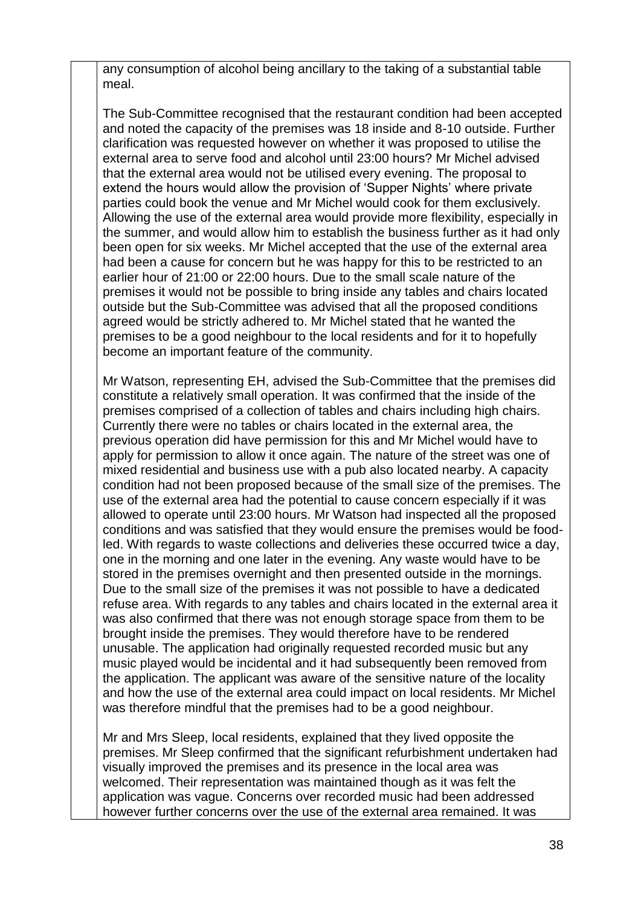any consumption of alcohol being ancillary to the taking of a substantial table meal.

The Sub-Committee recognised that the restaurant condition had been accepted and noted the capacity of the premises was 18 inside and 8-10 outside. Further clarification was requested however on whether it was proposed to utilise the external area to serve food and alcohol until 23:00 hours? Mr Michel advised that the external area would not be utilised every evening. The proposal to extend the hours would allow the provision of 'Supper Nights' where private parties could book the venue and Mr Michel would cook for them exclusively. Allowing the use of the external area would provide more flexibility, especially in the summer, and would allow him to establish the business further as it had only been open for six weeks. Mr Michel accepted that the use of the external area had been a cause for concern but he was happy for this to be restricted to an earlier hour of 21:00 or 22:00 hours. Due to the small scale nature of the premises it would not be possible to bring inside any tables and chairs located outside but the Sub-Committee was advised that all the proposed conditions agreed would be strictly adhered to. Mr Michel stated that he wanted the premises to be a good neighbour to the local residents and for it to hopefully become an important feature of the community.

Mr Watson, representing EH, advised the Sub-Committee that the premises did constitute a relatively small operation. It was confirmed that the inside of the premises comprised of a collection of tables and chairs including high chairs. Currently there were no tables or chairs located in the external area, the previous operation did have permission for this and Mr Michel would have to apply for permission to allow it once again. The nature of the street was one of mixed residential and business use with a pub also located nearby. A capacity condition had not been proposed because of the small size of the premises. The use of the external area had the potential to cause concern especially if it was allowed to operate until 23:00 hours. Mr Watson had inspected all the proposed conditions and was satisfied that they would ensure the premises would be foodled. With regards to waste collections and deliveries these occurred twice a day, one in the morning and one later in the evening. Any waste would have to be stored in the premises overnight and then presented outside in the mornings. Due to the small size of the premises it was not possible to have a dedicated refuse area. With regards to any tables and chairs located in the external area it was also confirmed that there was not enough storage space from them to be brought inside the premises. They would therefore have to be rendered unusable. The application had originally requested recorded music but any music played would be incidental and it had subsequently been removed from the application. The applicant was aware of the sensitive nature of the locality and how the use of the external area could impact on local residents. Mr Michel was therefore mindful that the premises had to be a good neighbour.

Mr and Mrs Sleep, local residents, explained that they lived opposite the premises. Mr Sleep confirmed that the significant refurbishment undertaken had visually improved the premises and its presence in the local area was welcomed. Their representation was maintained though as it was felt the application was vague. Concerns over recorded music had been addressed however further concerns over the use of the external area remained. It was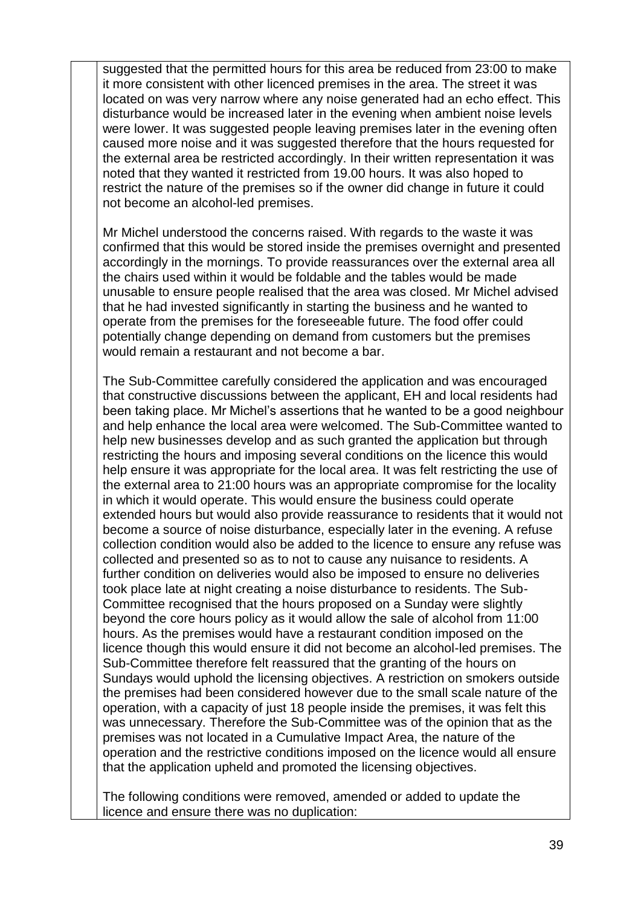suggested that the permitted hours for this area be reduced from 23:00 to make it more consistent with other licenced premises in the area. The street it was located on was very narrow where any noise generated had an echo effect. This disturbance would be increased later in the evening when ambient noise levels were lower. It was suggested people leaving premises later in the evening often caused more noise and it was suggested therefore that the hours requested for the external area be restricted accordingly. In their written representation it was noted that they wanted it restricted from 19.00 hours. It was also hoped to restrict the nature of the premises so if the owner did change in future it could not become an alcohol-led premises.

Mr Michel understood the concerns raised. With regards to the waste it was confirmed that this would be stored inside the premises overnight and presented accordingly in the mornings. To provide reassurances over the external area all the chairs used within it would be foldable and the tables would be made unusable to ensure people realised that the area was closed. Mr Michel advised that he had invested significantly in starting the business and he wanted to operate from the premises for the foreseeable future. The food offer could potentially change depending on demand from customers but the premises would remain a restaurant and not become a bar.

The Sub-Committee carefully considered the application and was encouraged that constructive discussions between the applicant, EH and local residents had been taking place. Mr Michel's assertions that he wanted to be a good neighbour and help enhance the local area were welcomed. The Sub-Committee wanted to help new businesses develop and as such granted the application but through restricting the hours and imposing several conditions on the licence this would help ensure it was appropriate for the local area. It was felt restricting the use of the external area to 21:00 hours was an appropriate compromise for the locality in which it would operate. This would ensure the business could operate extended hours but would also provide reassurance to residents that it would not become a source of noise disturbance, especially later in the evening. A refuse collection condition would also be added to the licence to ensure any refuse was collected and presented so as to not to cause any nuisance to residents. A further condition on deliveries would also be imposed to ensure no deliveries took place late at night creating a noise disturbance to residents. The Sub-Committee recognised that the hours proposed on a Sunday were slightly beyond the core hours policy as it would allow the sale of alcohol from 11:00 hours. As the premises would have a restaurant condition imposed on the licence though this would ensure it did not become an alcohol-led premises. The Sub-Committee therefore felt reassured that the granting of the hours on Sundays would uphold the licensing objectives. A restriction on smokers outside the premises had been considered however due to the small scale nature of the operation, with a capacity of just 18 people inside the premises, it was felt this was unnecessary. Therefore the Sub-Committee was of the opinion that as the premises was not located in a Cumulative Impact Area, the nature of the operation and the restrictive conditions imposed on the licence would all ensure that the application upheld and promoted the licensing objectives.

The following conditions were removed, amended or added to update the licence and ensure there was no duplication: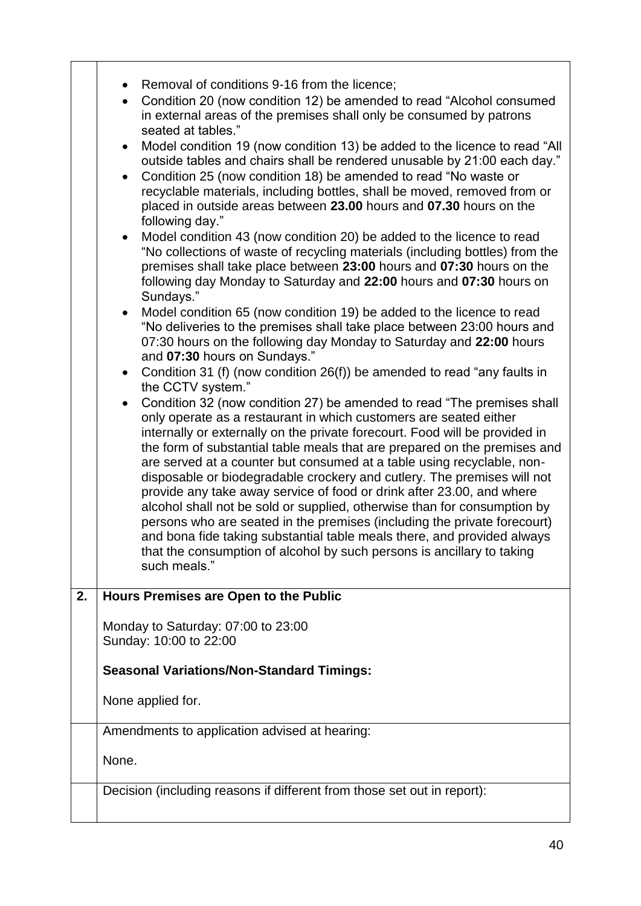|    | Removal of conditions 9-16 from the licence;<br>Condition 20 (now condition 12) be amended to read "Alcohol consumed<br>$\bullet$<br>in external areas of the premises shall only be consumed by patrons<br>seated at tables."<br>Model condition 19 (now condition 13) be added to the licence to read "All<br>$\bullet$<br>outside tables and chairs shall be rendered unusable by 21:00 each day."<br>Condition 25 (now condition 18) be amended to read "No waste or<br>$\bullet$<br>recyclable materials, including bottles, shall be moved, removed from or<br>placed in outside areas between 23.00 hours and 07.30 hours on the<br>following day."<br>Model condition 43 (now condition 20) be added to the licence to read<br>$\bullet$<br>"No collections of waste of recycling materials (including bottles) from the<br>premises shall take place between 23:00 hours and 07:30 hours on the<br>following day Monday to Saturday and 22:00 hours and 07:30 hours on<br>Sundays."<br>Model condition 65 (now condition 19) be added to the licence to read<br>$\bullet$<br>"No deliveries to the premises shall take place between 23:00 hours and<br>07:30 hours on the following day Monday to Saturday and 22:00 hours<br>and 07:30 hours on Sundays."<br>Condition 31 (f) (now condition 26(f)) be amended to read "any faults in<br>$\bullet$<br>the CCTV system."<br>Condition 32 (now condition 27) be amended to read "The premises shall<br>only operate as a restaurant in which customers are seated either<br>internally or externally on the private forecourt. Food will be provided in<br>the form of substantial table meals that are prepared on the premises and<br>are served at a counter but consumed at a table using recyclable, non-<br>disposable or biodegradable crockery and cutlery. The premises will not<br>provide any take away service of food or drink after 23.00, and where<br>alcohol shall not be sold or supplied, otherwise than for consumption by<br>persons who are seated in the premises (including the private forecourt)<br>and bona fide taking substantial table meals there, and provided always<br>that the consumption of alcohol by such persons is ancillary to taking<br>such meals." |
|----|----------------------------------------------------------------------------------------------------------------------------------------------------------------------------------------------------------------------------------------------------------------------------------------------------------------------------------------------------------------------------------------------------------------------------------------------------------------------------------------------------------------------------------------------------------------------------------------------------------------------------------------------------------------------------------------------------------------------------------------------------------------------------------------------------------------------------------------------------------------------------------------------------------------------------------------------------------------------------------------------------------------------------------------------------------------------------------------------------------------------------------------------------------------------------------------------------------------------------------------------------------------------------------------------------------------------------------------------------------------------------------------------------------------------------------------------------------------------------------------------------------------------------------------------------------------------------------------------------------------------------------------------------------------------------------------------------------------------------------------------------------------------------------------------------------------------------------------------------------------------------------------------------------------------------------------------------------------------------------------------------------------------------------------------------------------------------------------------------------------------------------------------------------------------------------------------------------------------------------------------------------|
| 2. | Hours Premises are Open to the Public                                                                                                                                                                                                                                                                                                                                                                                                                                                                                                                                                                                                                                                                                                                                                                                                                                                                                                                                                                                                                                                                                                                                                                                                                                                                                                                                                                                                                                                                                                                                                                                                                                                                                                                                                                                                                                                                                                                                                                                                                                                                                                                                                                                                                    |
|    | Monday to Saturday: 07:00 to 23:00<br>Sunday: 10:00 to 22:00                                                                                                                                                                                                                                                                                                                                                                                                                                                                                                                                                                                                                                                                                                                                                                                                                                                                                                                                                                                                                                                                                                                                                                                                                                                                                                                                                                                                                                                                                                                                                                                                                                                                                                                                                                                                                                                                                                                                                                                                                                                                                                                                                                                             |
|    | <b>Seasonal Variations/Non-Standard Timings:</b>                                                                                                                                                                                                                                                                                                                                                                                                                                                                                                                                                                                                                                                                                                                                                                                                                                                                                                                                                                                                                                                                                                                                                                                                                                                                                                                                                                                                                                                                                                                                                                                                                                                                                                                                                                                                                                                                                                                                                                                                                                                                                                                                                                                                         |
|    | None applied for.                                                                                                                                                                                                                                                                                                                                                                                                                                                                                                                                                                                                                                                                                                                                                                                                                                                                                                                                                                                                                                                                                                                                                                                                                                                                                                                                                                                                                                                                                                                                                                                                                                                                                                                                                                                                                                                                                                                                                                                                                                                                                                                                                                                                                                        |
|    | Amendments to application advised at hearing:                                                                                                                                                                                                                                                                                                                                                                                                                                                                                                                                                                                                                                                                                                                                                                                                                                                                                                                                                                                                                                                                                                                                                                                                                                                                                                                                                                                                                                                                                                                                                                                                                                                                                                                                                                                                                                                                                                                                                                                                                                                                                                                                                                                                            |
|    | None.                                                                                                                                                                                                                                                                                                                                                                                                                                                                                                                                                                                                                                                                                                                                                                                                                                                                                                                                                                                                                                                                                                                                                                                                                                                                                                                                                                                                                                                                                                                                                                                                                                                                                                                                                                                                                                                                                                                                                                                                                                                                                                                                                                                                                                                    |
|    | Decision (including reasons if different from those set out in report):                                                                                                                                                                                                                                                                                                                                                                                                                                                                                                                                                                                                                                                                                                                                                                                                                                                                                                                                                                                                                                                                                                                                                                                                                                                                                                                                                                                                                                                                                                                                                                                                                                                                                                                                                                                                                                                                                                                                                                                                                                                                                                                                                                                  |
|    |                                                                                                                                                                                                                                                                                                                                                                                                                                                                                                                                                                                                                                                                                                                                                                                                                                                                                                                                                                                                                                                                                                                                                                                                                                                                                                                                                                                                                                                                                                                                                                                                                                                                                                                                                                                                                                                                                                                                                                                                                                                                                                                                                                                                                                                          |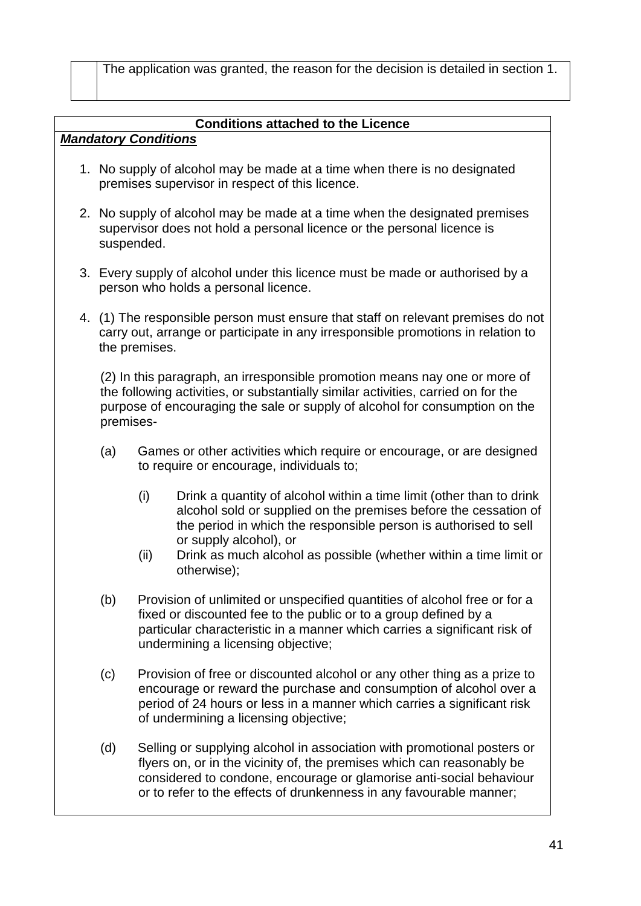The application was granted, the reason for the decision is detailed in section 1.

## **Conditions attached to the Licence**

# *Mandatory Conditions*

- 1. No supply of alcohol may be made at a time when there is no designated premises supervisor in respect of this licence.
- 2. No supply of alcohol may be made at a time when the designated premises supervisor does not hold a personal licence or the personal licence is suspended.
- 3. Every supply of alcohol under this licence must be made or authorised by a person who holds a personal licence.
- 4. (1) The responsible person must ensure that staff on relevant premises do not carry out, arrange or participate in any irresponsible promotions in relation to the premises.

(2) In this paragraph, an irresponsible promotion means nay one or more of the following activities, or substantially similar activities, carried on for the purpose of encouraging the sale or supply of alcohol for consumption on the premises-

- (a) Games or other activities which require or encourage, or are designed to require or encourage, individuals to;
	- (i) Drink a quantity of alcohol within a time limit (other than to drink alcohol sold or supplied on the premises before the cessation of the period in which the responsible person is authorised to sell or supply alcohol), or
	- (ii) Drink as much alcohol as possible (whether within a time limit or otherwise);
- (b) Provision of unlimited or unspecified quantities of alcohol free or for a fixed or discounted fee to the public or to a group defined by a particular characteristic in a manner which carries a significant risk of undermining a licensing objective;
- (c) Provision of free or discounted alcohol or any other thing as a prize to encourage or reward the purchase and consumption of alcohol over a period of 24 hours or less in a manner which carries a significant risk of undermining a licensing objective;
- (d) Selling or supplying alcohol in association with promotional posters or flyers on, or in the vicinity of, the premises which can reasonably be considered to condone, encourage or glamorise anti-social behaviour or to refer to the effects of drunkenness in any favourable manner;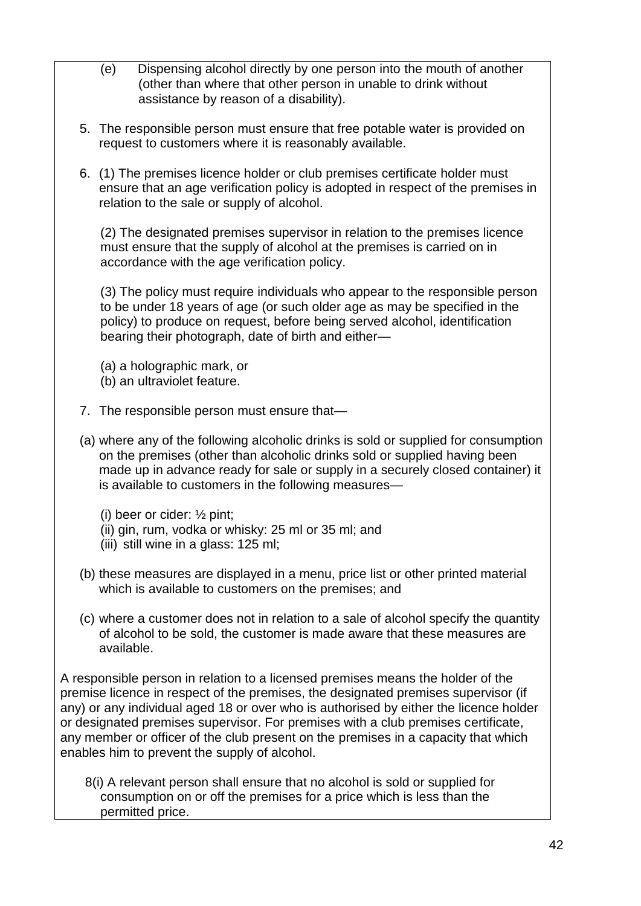- (e) Dispensing alcohol directly by one person into the mouth of another (other than where that other person in unable to drink without assistance by reason of a disability). 5. The responsible person must ensure that free potable water is provided on request to customers where it is reasonably available. 6. (1) The premises licence holder or club premises certificate holder must ensure that an age verification policy is adopted in respect of the premises in relation to the sale or supply of alcohol. (2) The designated premises supervisor in relation to the premises licence must ensure that the supply of alcohol at the premises is carried on in accordance with the age verification policy. (3) The policy must require individuals who appear to the responsible person to be under 18 years of age (or such older age as may be specified in the policy) to produce on request, before being served alcohol, identification bearing their photograph, date of birth and either— (a) a holographic mark, or (b) an ultraviolet feature. 7. The responsible person must ensure that— (a) where any of the following alcoholic drinks is sold or supplied for consumption on the premises (other than alcoholic drinks sold or supplied having been made up in advance ready for sale or supply in a securely closed container) it is available to customers in the following measures— (i) beer or cider: ½ pint; (ii) gin, rum, vodka or whisky: 25 ml or 35 ml; and (iii) still wine in a glass: 125 ml; (b) these measures are displayed in a menu, price list or other printed material which is available to customers on the premises; and (c) where a customer does not in relation to a sale of alcohol specify the quantity of alcohol to be sold, the customer is made aware that these measures are available. A responsible person in relation to a licensed premises means the holder of the premise licence in respect of the premises, the designated premises supervisor (if any) or any individual aged 18 or over who is authorised by either the licence holder or designated premises supervisor. For premises with a club premises certificate, any member or officer of the club present on the premises in a capacity that which enables him to prevent the supply of alcohol.
	- 8(i) A relevant person shall ensure that no alcohol is sold or supplied for consumption on or off the premises for a price which is less than the permitted price.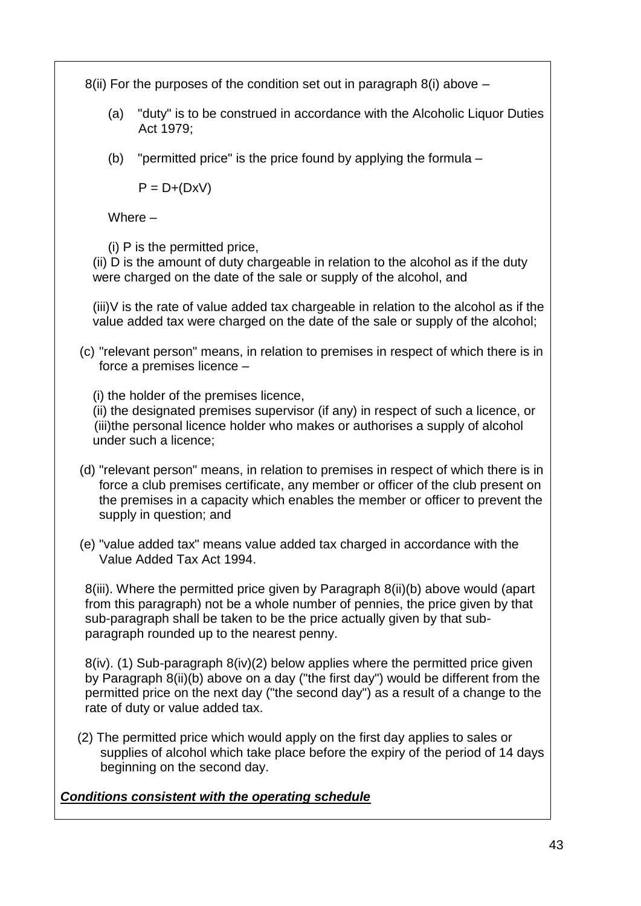8(ii) For the purposes of the condition set out in paragraph 8(i) above  $-$ 

- (a) "duty" is to be construed in accordance with the Alcoholic Liquor Duties Act 1979;
- (b) "permitted price" is the price found by applying the formula –

 $P = D+(DxV)$ 

Where –

(i) P is the permitted price,

(ii) D is the amount of duty chargeable in relation to the alcohol as if the duty were charged on the date of the sale or supply of the alcohol, and

(iii)V is the rate of value added tax chargeable in relation to the alcohol as if the value added tax were charged on the date of the sale or supply of the alcohol;

(c) "relevant person" means, in relation to premises in respect of which there is in force a premises licence –

(i) the holder of the premises licence,

(ii) the designated premises supervisor (if any) in respect of such a licence, or (iii)the personal licence holder who makes or authorises a supply of alcohol under such a licence;

- (d) "relevant person" means, in relation to premises in respect of which there is in force a club premises certificate, any member or officer of the club present on the premises in a capacity which enables the member or officer to prevent the supply in question; and
- (e) "value added tax" means value added tax charged in accordance with the Value Added Tax Act 1994.

8(iii). Where the permitted price given by Paragraph 8(ii)(b) above would (apart from this paragraph) not be a whole number of pennies, the price given by that sub-paragraph shall be taken to be the price actually given by that subparagraph rounded up to the nearest penny.

8(iv). (1) Sub-paragraph 8(iv)(2) below applies where the permitted price given by Paragraph 8(ii)(b) above on a day ("the first day") would be different from the permitted price on the next day ("the second day") as a result of a change to the rate of duty or value added tax.

(2) The permitted price which would apply on the first day applies to sales or supplies of alcohol which take place before the expiry of the period of 14 days beginning on the second day.

# *Conditions consistent with the operating schedule*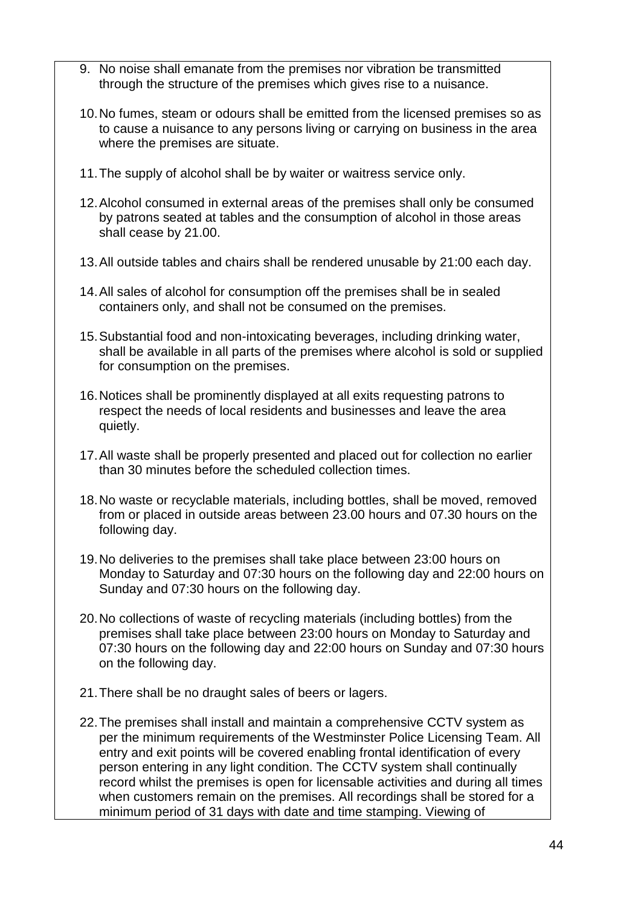- 9. No noise shall emanate from the premises nor vibration be transmitted through the structure of the premises which gives rise to a nuisance.
- 10.No fumes, steam or odours shall be emitted from the licensed premises so as to cause a nuisance to any persons living or carrying on business in the area where the premises are situate.
- 11.The supply of alcohol shall be by waiter or waitress service only.
- 12.Alcohol consumed in external areas of the premises shall only be consumed by patrons seated at tables and the consumption of alcohol in those areas shall cease by 21.00.
- 13.All outside tables and chairs shall be rendered unusable by 21:00 each day.
- 14.All sales of alcohol for consumption off the premises shall be in sealed containers only, and shall not be consumed on the premises.
- 15.Substantial food and non-intoxicating beverages, including drinking water, shall be available in all parts of the premises where alcohol is sold or supplied for consumption on the premises.
- 16.Notices shall be prominently displayed at all exits requesting patrons to respect the needs of local residents and businesses and leave the area quietly.
- 17.All waste shall be properly presented and placed out for collection no earlier than 30 minutes before the scheduled collection times.
- 18.No waste or recyclable materials, including bottles, shall be moved, removed from or placed in outside areas between 23.00 hours and 07.30 hours on the following day.
- 19.No deliveries to the premises shall take place between 23:00 hours on Monday to Saturday and 07:30 hours on the following day and 22:00 hours on Sunday and 07:30 hours on the following day.
- 20.No collections of waste of recycling materials (including bottles) from the premises shall take place between 23:00 hours on Monday to Saturday and 07:30 hours on the following day and 22:00 hours on Sunday and 07:30 hours on the following day.
- 21.There shall be no draught sales of beers or lagers.
- 22.The premises shall install and maintain a comprehensive CCTV system as per the minimum requirements of the Westminster Police Licensing Team. All entry and exit points will be covered enabling frontal identification of every person entering in any light condition. The CCTV system shall continually record whilst the premises is open for licensable activities and during all times when customers remain on the premises. All recordings shall be stored for a minimum period of 31 days with date and time stamping. Viewing of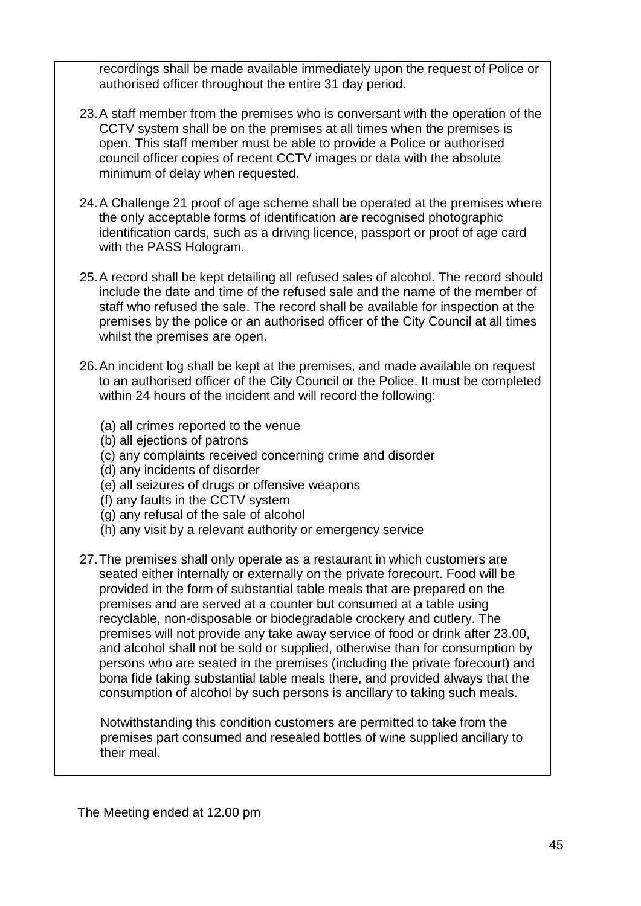recordings shall be made available immediately upon the request of Police or authorised officer throughout the entire 31 day period.

- 23.A staff member from the premises who is conversant with the operation of the CCTV system shall be on the premises at all times when the premises is open. This staff member must be able to provide a Police or authorised council officer copies of recent CCTV images or data with the absolute minimum of delay when requested.
- 24.A Challenge 21 proof of age scheme shall be operated at the premises where the only acceptable forms of identification are recognised photographic identification cards, such as a driving licence, passport or proof of age card with the PASS Hologram.
- 25.A record shall be kept detailing all refused sales of alcohol. The record should include the date and time of the refused sale and the name of the member of staff who refused the sale. The record shall be available for inspection at the premises by the police or an authorised officer of the City Council at all times whilst the premises are open.
- 26.An incident log shall be kept at the premises, and made available on request to an authorised officer of the City Council or the Police. It must be completed within 24 hours of the incident and will record the following:
	- (a) all crimes reported to the venue
	- (b) all ejections of patrons
	- (c) any complaints received concerning crime and disorder
	- (d) any incidents of disorder
	- (e) all seizures of drugs or offensive weapons
	- (f) any faults in the CCTV system
	- (g) any refusal of the sale of alcohol
	- (h) any visit by a relevant authority or emergency service
- 27.The premises shall only operate as a restaurant in which customers are seated either internally or externally on the private forecourt. Food will be provided in the form of substantial table meals that are prepared on the premises and are served at a counter but consumed at a table using recyclable, non-disposable or biodegradable crockery and cutlery. The premises will not provide any take away service of food or drink after 23.00, and alcohol shall not be sold or supplied, otherwise than for consumption by persons who are seated in the premises (including the private forecourt) and bona fide taking substantial table meals there, and provided always that the consumption of alcohol by such persons is ancillary to taking such meals.

Notwithstanding this condition customers are permitted to take from the premises part consumed and resealed bottles of wine supplied ancillary to their meal.